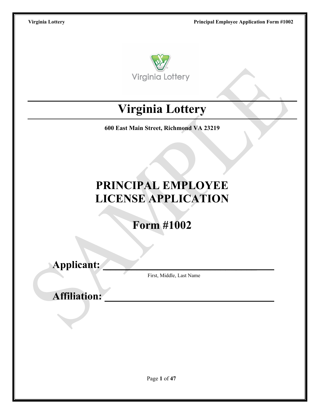

# **Virginia Lottery**

**600 East Main Street, Richmond VA 23219**

# **PRINCIPAL EMPLOYEE LICENSE APPLICATION**

**Form #1002**

**Applicant: \_\_\_\_\_\_\_\_\_\_\_\_\_\_\_\_\_\_\_\_\_\_\_\_\_\_\_\_\_**

First, Middle, Last Name

**Affiliation:**

Page **1** of **47**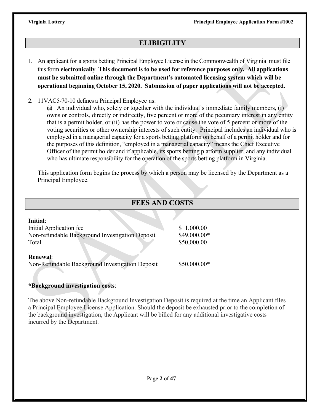# **ELIBIGILITY**

- 1. An applicant for a sports betting Principal Employee License in the Commonwealth of Virginia must file this form **electronically**. **This document is to be used for reference purposes only. All applications must be submitted online through the Department's automated licensing system which will be operational beginning October 15, 2020. Submission of paper applications will not be accepted.**
- 2. 11VAC5-70-10 defines a Principal Employee as:

(a) An individual who, solely or together with the individual's immediate family members, (i) owns or controls, directly or indirectly, five percent or more of the pecuniary interest in any entity that is a permit holder, or (ii) has the power to vote or cause the vote of 5 percent or more of the voting securities or other ownership interests of such entity. Principal includes an individual who is employed in a managerial capacity for a sports betting platform on behalf of a permit holder and for the purposes of this definition, "employed in a managerial capacity" means the Chief Executive Officer of the permit holder and if applicable, its sports betting platform supplier, and any individual who has ultimate responsibility for the operation of the sports betting platform in Virginia.

This application form begins the process by which a person may be licensed by the Department as a Principal Employee.

| <b>FEES AND COSTS</b>                           |               |  |  |  |  |  |  |
|-------------------------------------------------|---------------|--|--|--|--|--|--|
| Initial:                                        |               |  |  |  |  |  |  |
| Initial Application fee                         | \$1,000.00    |  |  |  |  |  |  |
| Non-refundable Background Investigation Deposit | \$49,000.00*  |  |  |  |  |  |  |
| Total                                           | \$50,000.00   |  |  |  |  |  |  |
| <b>Renewal:</b>                                 |               |  |  |  |  |  |  |
| Non-Refundable Background Investigation Deposit | $$50,000.00*$ |  |  |  |  |  |  |

# **\*Background investigation costs**:

The above Non-refundable Background Investigation Deposit is required at the time an Applicant files a Principal Employee License Application. Should the deposit be exhausted prior to the completion of the background investigation, the Applicant will be billed for any additional investigative costs incurred by the Department.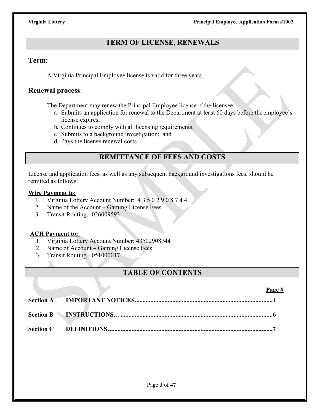# **TERM OF LICENSE, RENEWALS**

# **Term**:

A Virginia Principal Employee license is valid for three years.

# **Renewal process**:

The Department may renew the Principal Employee license if the licensee:

- a. Submits an application for renewal to the Department at least 60 days before the employee's license expires;
- b. Continues to comply with all licensing requirements;
- c. Submits to a background investigation; and
- d. Pays the license renewal costs.

# **REMITTANCE OF FEES AND COSTS**

License and application fees, as well as any subsequent background investigations fees, should be remitted as follows:

# **Wire Payment to:**

- 1. Virginia Lottery Account Number: 4350290874 4
- 2. Name of the Account Gaming License Fees
- 3. Transit Routing 026009593

# **ACH Payment to:**

- 1. Virginia Lottery Account Number: 43502908744
- 2. Name of Account Gaming License Fees
- 3. Transit Routing 051000017

# **TABLE OF CONTENTS**

|  | Page # |
|--|--------|
|  |        |
|  |        |
|  |        |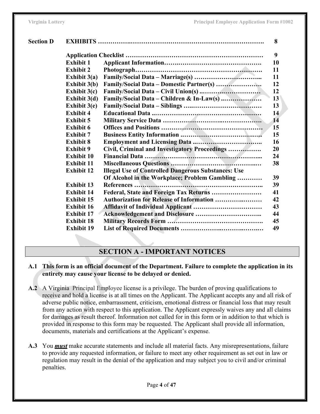| <b>Section D</b> |                     |                                                            | 8  |
|------------------|---------------------|------------------------------------------------------------|----|
|                  |                     |                                                            | 9  |
|                  | <b>Exhibit 1</b>    |                                                            | 10 |
|                  | <b>Exhibit 2</b>    |                                                            | 11 |
|                  | Exhibit $3(a)$      |                                                            | 11 |
|                  | <b>Exhibit 3(b)</b> | Family/Social Data - Domestic Partner(s)                   | 12 |
|                  | Exhibit $3(c)$      |                                                            | 12 |
|                  | Exhibit 3(d)        |                                                            | 13 |
|                  | Exhibit $3(e)$      |                                                            | 13 |
|                  | <b>Exhibit 4</b>    |                                                            | 14 |
|                  | <b>Exhibit 5</b>    |                                                            | 14 |
|                  | <b>Exhibit 6</b>    |                                                            | 15 |
|                  | <b>Exhibit 7</b>    |                                                            | 15 |
|                  | <b>Exhibit 8</b>    |                                                            | 16 |
|                  | <b>Exhibit 9</b>    | Civil, Criminal and Investigatory Proceedings              | 20 |
|                  | <b>Exhibit 10</b>   |                                                            | 24 |
|                  | <b>Exhibit 11</b>   |                                                            | 38 |
|                  | <b>Exhibit 12</b>   | <b>Illegal Use of Controlled Dangerous Substances: Use</b> |    |
|                  |                     | Of Alcohol in the Workplace; Problem Gambling              | 39 |
|                  | <b>Exhibit 13</b>   |                                                            | 39 |
|                  | <b>Exhibit 14</b>   |                                                            | 41 |
|                  | <b>Exhibit 15</b>   | <b>Authorization for Release of Information </b>           | 42 |
|                  | <b>Exhibit 16</b>   |                                                            | 43 |
|                  | <b>Exhibit 17</b>   |                                                            | 44 |
|                  | <b>Exhibit 18</b>   |                                                            | 45 |
|                  | <b>Exhibit 19</b>   |                                                            | 49 |
|                  |                     |                                                            |    |

# **SECTION A - IMPORTANT NOTICES**

- **A.1 This form is an official document of the Department. Failure to complete the application in its entirety may cause your license to be delayed or denied.**
- **A.2** A Virginia Principal Employee license is a privilege. The burden of proving qualifications to receive and hold a license is at all times on the Applicant. The Applicant accepts any and all risk of adverse public notice, embarrassment, criticism, emotional distress or financial loss that may result from any action with respect to this application. The Applicant expressly waives any and all claims for damages as result thereof. Information not called for in this form or in addition to that which is provided in response to this form may be requested. The Applicant shall provide all information, documents, materials and certifications at the Applicant's expense.
- **A.3** You *must* make accurate statements and include all material facts. Any misrepresentations, failure to provide any requested information, or failure to meet any other requirement as set out in law or regulation may result in the denial of the application and may subject you to civil and/or criminal penalties.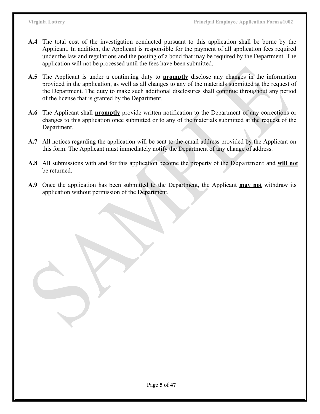- **A.4** The total cost of the investigation conducted pursuant to this application shall be borne by the Applicant. In addition, the Applicant is responsible for the payment of all application fees required under the law and regulations and the posting of a bond that may be required by the Department. The application will not be processed until the fees have been submitted.
- **A.5** The Applicant is under a continuing duty to **promptly** disclose any changes in the information provided in the application, as well as all changes to any of the materials submitted at the request of the Department. The duty to make such additional disclosures shall continue throughout any period of the license that is granted by the Department.
- **A.6** The Applicant shall **promptly** provide written notification to the Department of any corrections or changes to this application once submitted or to any of the materials submitted at the request of the Department.
- **A.7** All notices regarding the application will be sent to the email address provided by the Applicant on this form. The Applicant must immediately notify the Department of any change of address.
- **A.8** All submissions with and for this application become the property of the Department and **will not** be returned.
- **A.9** Once the application has been submitted to the Department, the Applicant **may not** withdraw its application without permission of the Department.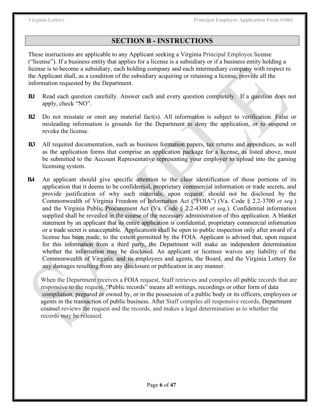# **SECTION B - INSTRUCTIONS**

These instructions are applicable to any Applicant seeking a Virginia Principal Employee license ("license"). If a business entity that applies for a license is a subsidiary or if a business entity holding a license is to become a subsidiary, each holding company and each intermediary company with respect to the Applicant shall, as a condition of the subsidiary acquiring or retaining a license, provide all the information requested by the Department.

- **B.1** Read each question carefully. Answer each and every question completely. If a question does not apply, check "NO".
- **B.2** Do not misstate or omit any material fact(s). All information is subject to verification. False or misleading information is grounds for the Department to deny the application, or to suspend or revoke the license.
- **B.3** All required documentation, such as business formation papers, tax returns and appendices, as well as the application forms that comprise an application package for a license, as listed above, must be submitted to the Account Representative representing your employer to upload into the gaming licensing system.
- **B.4** An applicant should give specific attention to the clear identification of those portions of its application that it deems to be confidential, proprietary commercial information or trade secrets, and provide justification of why such materials, upon request, should not be disclosed by the Commonwealth of Virginia Freedom of Information Act ("FOIA") (Va. Code § 2.2-3700 *et seq.*) and the Virginia Public Procurement Act (Va. Code § 2.2-4300 *et seq*.). Confidential information supplied shall be revealed in the course of the necessary administration of this application. A blanket statement by an applicant that its entire application is confidential, proprietary commercial information or a trade secret is unacceptable. Applications shall be open to public inspection only after award of a license has been made, to the extent permitted by the FOIA. Applicant is advised that, upon request for this information from a third party, the Department will make an independent determination whether the information may be disclosed. An applicant or licensee waives any liability of the Commonwealth of Virginia, and its employees and agents, the Board, and the Virginia Lottery for any damages resulting from any disclosure or publication in any manner.

 When the Department receives a FOIA request, Staff retrieves and compiles all public records that are responsive to the request. "Public records" means all writings, recordings or other form of data compilation, prepared or owned by, or in the possession of a public body or its officers, employees or agents in the transaction of public business. After Staff compiles all responsive records, Department counsel reviews the request and the records, and makes a legal determination as to whether the records may be released.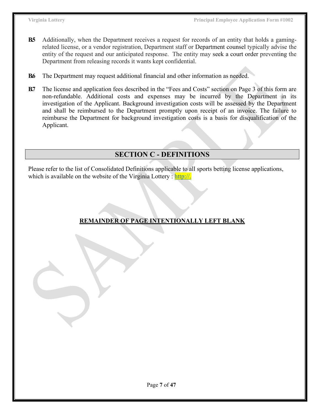- **B.5** Additionally, when the Department receives a request for records of an entity that holds a gamingrelated license, or a vendor registration, Department staff or Department counsel typically advise the entity of the request and our anticipated response. The entity may seek a court order preventing the Department from releasing records it wants kept confidential.
- **B.6** The Department may request additional financial and other information as needed.
- **B.7** The license and application fees described in the "Fees and Costs" section on Page 3 of this form are non-refundable. Additional costs and expenses may be incurred by the Department in its investigation of the Applicant. Background investigation costs will be assessed by the Department and shall be reimbursed to the Department promptly upon receipt of an invoice. The failure to reimburse the Department for background investigation costs is a basis for disqualification of the Applicant.

# **SECTION C - DEFINITIONS**

Please refer to the list of Consolidated Definitions applicable to all sports betting license applications, which is available on the website of the Virginia Lottery : [http://.](http://./)

# **REMAINDER OF PAGE INTENTIONALLY LEFT BLANK**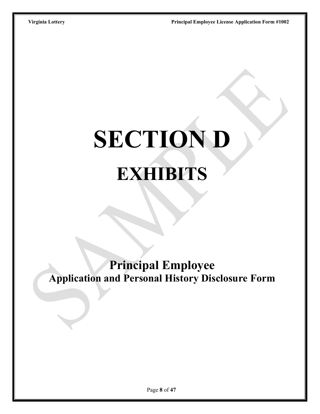# **SECTION D EXHIBITS**

**Principal Employee Application and Personal History Disclosure Form**

Page **8** of **47**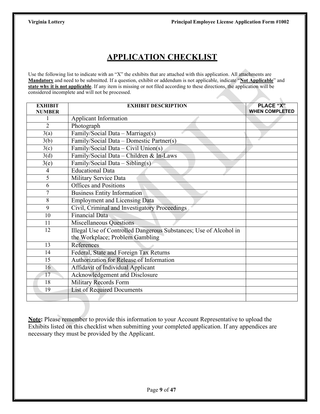# **APPLICATION CHECKLIST**

Use the following list to indicate with an "X" the exhibits that are attached with this application. All attachments are **Mandatory** and need to be submitted. If a question, exhibit or addendum is not applicable, indicate "**Not Applicable**" and **state why it is not applicable**. If any item is missing or not filed according to these directions, the application will be considered incomplete and will not be processed.

| <b>EXHIBIT</b>     | <b>EXHIBIT DESCRIPTION</b>                                                                           | <b>PLACE "X"</b>      |
|--------------------|------------------------------------------------------------------------------------------------------|-----------------------|
| <b>NUMBER</b>      |                                                                                                      | <b>WHEN COMPLETED</b> |
|                    | <b>Applicant Information</b>                                                                         |                       |
| $\overline{2}$     | Photograph                                                                                           |                       |
| 3(a)               | Family/Social Data - Marriage(s)                                                                     |                       |
| 3(b)               | Family/Social Data - Domestic Partner(s)                                                             |                       |
| 3(c)               | Family/Social Data - Civil Union(s)                                                                  |                       |
| 3(d)               | Family/Social Data - Children & In-Laws                                                              |                       |
| $\overline{3}$ (e) | Family/Social Data - Sibling(s)                                                                      |                       |
| $\overline{4}$     | <b>Educational Data</b>                                                                              |                       |
| 5                  | <b>Military Service Data</b>                                                                         |                       |
| 6                  | <b>Offices and Positions</b>                                                                         |                       |
| 7                  | <b>Business Entity Information</b>                                                                   |                       |
| 8                  | <b>Employment and Licensing Data</b>                                                                 |                       |
| 9                  | Civil, Criminal and Investigatory Proceedings                                                        |                       |
| 10                 | <b>Financial Data</b>                                                                                |                       |
| 11                 | Miscellaneous Questions                                                                              |                       |
| 12                 | Illegal Use of Controlled Dangerous Substances; Use of Alcohol in<br>the Workplace; Problem Gambling |                       |
| 13                 | References                                                                                           |                       |
| 14                 | Federal, State and Foreign Tax Returns                                                               |                       |
| $\overline{15}$    | Authorization for Release of Information                                                             |                       |
| 16                 | Affidavit of Individual Applicant                                                                    |                       |
| 17                 | Acknowledgement and Disclosure                                                                       |                       |
| 18                 | <b>Military Records Form</b>                                                                         |                       |
| 19                 | List of Required Documents                                                                           |                       |
|                    |                                                                                                      |                       |

**Note:** Please remember to provide this information to your Account Representative to upload the Exhibits listed on this checklist when submitting your completed application. If any appendices are necessary they must be provided by the Applicant.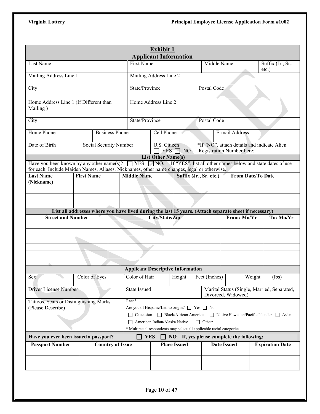|                                                                                                                                                                                                                            |                   |                         |                                                                                                        | <b>Exhibit 1</b>          |                                                                        |                        |                                                                               |                          |                        |
|----------------------------------------------------------------------------------------------------------------------------------------------------------------------------------------------------------------------------|-------------------|-------------------------|--------------------------------------------------------------------------------------------------------|---------------------------|------------------------------------------------------------------------|------------------------|-------------------------------------------------------------------------------|--------------------------|------------------------|
|                                                                                                                                                                                                                            |                   |                         |                                                                                                        |                           | <b>Applicant Information</b>                                           |                        |                                                                               |                          |                        |
| Last Name                                                                                                                                                                                                                  |                   |                         |                                                                                                        | First Name<br>Middle Name |                                                                        |                        |                                                                               | $etc.$ )                 | Suffix (Jr., Sr.,      |
| Mailing Address Line 1                                                                                                                                                                                                     |                   |                         |                                                                                                        | Mailing Address Line 2    |                                                                        |                        |                                                                               |                          |                        |
| City                                                                                                                                                                                                                       |                   |                         | State/Province                                                                                         |                           |                                                                        | Postal Code            |                                                                               |                          |                        |
| Home Address Line 1 (If Different than<br>Mailing)                                                                                                                                                                         |                   |                         |                                                                                                        | Home Address Line 2       |                                                                        |                        |                                                                               |                          |                        |
| City                                                                                                                                                                                                                       |                   |                         | State/Province                                                                                         |                           |                                                                        | Postal Code            |                                                                               |                          |                        |
| Home Phone                                                                                                                                                                                                                 |                   | <b>Business Phone</b>   |                                                                                                        | Cell Phone                |                                                                        |                        | E-mail Address                                                                |                          |                        |
| Date of Birth                                                                                                                                                                                                              |                   | Social Security Number  |                                                                                                        | U.S. Citizen              | $YES \Box NO$                                                          |                        | *If "NO", attach details and indicate Alien<br>Registration Number here:      |                          |                        |
|                                                                                                                                                                                                                            |                   |                         |                                                                                                        | <b>List Other Name(s)</b> |                                                                        |                        |                                                                               |                          |                        |
| Have you been known by any other name(s)? $\Box$ YES $\Box$ NO. If "YES", list all other names below and state dates of use<br>for each. Include Maiden Names, Aliases, Nicknames, other name changes, legal or otherwise. |                   |                         |                                                                                                        |                           |                                                                        |                        |                                                                               |                          |                        |
| <b>Last Name</b><br>(Nickname)                                                                                                                                                                                             | <b>First Name</b> |                         | <b>Middle Name</b>                                                                                     |                           |                                                                        | Suffix (Jr., Sr. etc.) |                                                                               | <b>From Date/To Date</b> |                        |
|                                                                                                                                                                                                                            |                   |                         |                                                                                                        |                           |                                                                        |                        |                                                                               |                          |                        |
|                                                                                                                                                                                                                            |                   |                         |                                                                                                        |                           |                                                                        |                        |                                                                               |                          |                        |
|                                                                                                                                                                                                                            |                   |                         |                                                                                                        |                           |                                                                        |                        |                                                                               |                          |                        |
|                                                                                                                                                                                                                            |                   |                         |                                                                                                        |                           |                                                                        |                        |                                                                               |                          |                        |
| <b>Street and Number</b>                                                                                                                                                                                                   |                   |                         | List all addresses where you have lived during the last 15 years. (Attach separate sheet if necessary) | City/State/Zip            |                                                                        |                        | From: Mo/Yr                                                                   |                          | To: Mo/Yr              |
|                                                                                                                                                                                                                            |                   |                         |                                                                                                        |                           |                                                                        |                        |                                                                               |                          |                        |
|                                                                                                                                                                                                                            |                   |                         |                                                                                                        |                           |                                                                        |                        |                                                                               |                          |                        |
|                                                                                                                                                                                                                            |                   |                         |                                                                                                        |                           |                                                                        |                        |                                                                               |                          |                        |
|                                                                                                                                                                                                                            |                   |                         |                                                                                                        |                           |                                                                        |                        |                                                                               |                          |                        |
|                                                                                                                                                                                                                            |                   |                         |                                                                                                        |                           |                                                                        |                        |                                                                               |                          |                        |
|                                                                                                                                                                                                                            |                   |                         |                                                                                                        |                           |                                                                        |                        |                                                                               |                          |                        |
|                                                                                                                                                                                                                            |                   |                         |                                                                                                        |                           |                                                                        |                        |                                                                               |                          |                        |
|                                                                                                                                                                                                                            |                   |                         |                                                                                                        |                           | <b>Applicant Descriptive Information</b>                               |                        |                                                                               |                          |                        |
| Sex                                                                                                                                                                                                                        |                   | Color of Eyes           | Color of Hair                                                                                          |                           | Height                                                                 | Feet (Inches)          |                                                                               | Weight                   | (lbs)                  |
| Driver License Number                                                                                                                                                                                                      |                   |                         | <b>State Issued</b>                                                                                    |                           |                                                                        |                        | Marital Status (Single, Married, Separated,<br>Divorced, Widowed)             |                          |                        |
| Tattoos, Scars or Distinguishing Marks                                                                                                                                                                                     |                   |                         | Race*                                                                                                  |                           |                                                                        |                        |                                                                               |                          |                        |
| (Please Describe)                                                                                                                                                                                                          |                   |                         |                                                                                                        |                           | Are you of Hispanic/Latino origin? □ Yes □ No                          |                        |                                                                               |                          |                        |
|                                                                                                                                                                                                                            |                   |                         |                                                                                                        |                           |                                                                        |                        | Caucasian   Black/African American   Native Hawaiian/Pacific Islander   Asian |                          |                        |
|                                                                                                                                                                                                                            |                   |                         |                                                                                                        |                           | American Indian/Alaska Native                                          | $\Box$ Other:          |                                                                               |                          |                        |
|                                                                                                                                                                                                                            |                   |                         |                                                                                                        |                           | * Multiracial respondents may select all applicable racial categories. |                        |                                                                               |                          |                        |
| Have you ever been issued a passport?                                                                                                                                                                                      |                   |                         |                                                                                                        | <b>YES</b>                |                                                                        |                        | NO If, yes please complete the following:                                     |                          |                        |
| <b>Passport Number</b>                                                                                                                                                                                                     |                   | <b>Country of Issue</b> |                                                                                                        |                           | <b>Place Issued</b>                                                    |                        | <b>Date Issued</b>                                                            |                          | <b>Expiration Date</b> |
|                                                                                                                                                                                                                            |                   |                         |                                                                                                        |                           |                                                                        |                        |                                                                               |                          |                        |
|                                                                                                                                                                                                                            |                   |                         |                                                                                                        |                           |                                                                        |                        |                                                                               |                          |                        |
|                                                                                                                                                                                                                            |                   |                         |                                                                                                        |                           |                                                                        |                        |                                                                               |                          |                        |
|                                                                                                                                                                                                                            |                   |                         |                                                                                                        |                           |                                                                        |                        |                                                                               |                          |                        |
|                                                                                                                                                                                                                            |                   |                         |                                                                                                        |                           |                                                                        |                        |                                                                               |                          |                        |
|                                                                                                                                                                                                                            |                   |                         |                                                                                                        | Page 10 of 47             |                                                                        |                        |                                                                               |                          |                        |
|                                                                                                                                                                                                                            |                   |                         |                                                                                                        |                           |                                                                        |                        |                                                                               |                          |                        |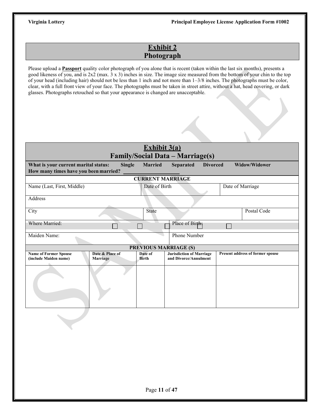# **Exhibit 2 Photograph**

Please upload a **Passport** quality color photograph of you alone that is recent (taken within the last six months), presents a good likeness of you, and is 2x2 (max. 3 x 3) inches in size. The image size measured from the bottom of your chin to the top of your head (including hair) should not be less than 1 inch and not more than 1–3/8 inches. The photographs must be color, clear, with a full front view of your face. The photographs must be taken in street attire, without a hat, head covering, or dark glasses. Photographs retouched so that your appearance is changed are unacceptable.

| Exhibit $3(a)$                                                                                                                                                                                                      |                             |  |                         |                                                          |  |                                  |  |  |
|---------------------------------------------------------------------------------------------------------------------------------------------------------------------------------------------------------------------|-----------------------------|--|-------------------------|----------------------------------------------------------|--|----------------------------------|--|--|
| <b>Family/Social Data - Marriage(s)</b><br><b>Single</b><br><b>Married</b><br><b>Divorced</b><br>Widow/Widower<br>What is your current marital status:<br><b>Separated</b><br>How many times have you been married? |                             |  |                         |                                                          |  |                                  |  |  |
|                                                                                                                                                                                                                     |                             |  |                         | <b>CURRENT MARRIAGE</b>                                  |  |                                  |  |  |
| Name (Last, First, Middle)                                                                                                                                                                                          |                             |  | Date of Birth           |                                                          |  | Date of Marriage                 |  |  |
| Address                                                                                                                                                                                                             |                             |  |                         |                                                          |  |                                  |  |  |
| City                                                                                                                                                                                                                |                             |  | State                   |                                                          |  | Postal Code                      |  |  |
| Where Married:                                                                                                                                                                                                      |                             |  |                         | Place of Birth                                           |  |                                  |  |  |
| Maiden Name:                                                                                                                                                                                                        |                             |  |                         | <b>Phone Number</b>                                      |  |                                  |  |  |
|                                                                                                                                                                                                                     |                             |  |                         | <b>PREVIOUS MARRIAGE (S)</b>                             |  |                                  |  |  |
| <b>Name of Former Spouse</b><br>(include Maiden name)                                                                                                                                                               | Date & Place of<br>Marriage |  | Date of<br><b>Birth</b> | <b>Jurisdiction of Marriage</b><br>and Divorce/Annulment |  | Present address of former spouse |  |  |
|                                                                                                                                                                                                                     |                             |  |                         |                                                          |  |                                  |  |  |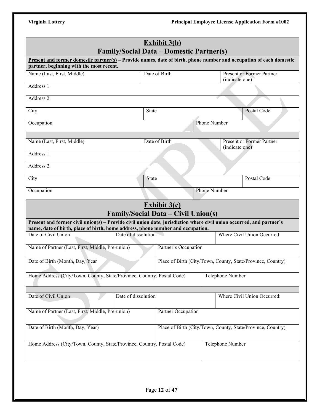**Principal Employee License Application Form #1002** 

| Virginia Lottery |  |  |  |
|------------------|--|--|--|
|                  |  |  |  |

|                                                                                                                             | <b>Family/Social Data – Domestic Partner(s)</b> | <b>Exhibit 3(b)</b>  |                     |                         |                                                             |
|-----------------------------------------------------------------------------------------------------------------------------|-------------------------------------------------|----------------------|---------------------|-------------------------|-------------------------------------------------------------|
| <b>Present and former domestic partner(s)</b> – Provide names, date of birth, phone number and occupation of each domestic  |                                                 |                      |                     |                         |                                                             |
| partner, beginning with the most recent.<br>Name (Last, First, Middle)                                                      |                                                 | Date of Birth        |                     |                         | <b>Present or Former Partner</b>                            |
|                                                                                                                             |                                                 |                      |                     | (indicate one)          |                                                             |
| Address 1                                                                                                                   |                                                 |                      |                     |                         |                                                             |
| Address 2                                                                                                                   |                                                 |                      |                     |                         |                                                             |
| City                                                                                                                        | State                                           |                      |                     |                         | Postal Code                                                 |
| Occupation                                                                                                                  |                                                 |                      | <b>Phone Number</b> |                         |                                                             |
| Name (Last, First, Middle)                                                                                                  |                                                 | Date of Birth        |                     | (indicate one)          | <b>Present or Former Partner</b>                            |
| Address 1                                                                                                                   |                                                 |                      |                     |                         |                                                             |
| Address 2                                                                                                                   |                                                 |                      |                     |                         |                                                             |
| City                                                                                                                        | State                                           |                      |                     |                         | Postal Code                                                 |
| Occupation                                                                                                                  |                                                 |                      | Phone Number        |                         |                                                             |
| <b>Present and former civil union(s)</b> – Provide civil union date, jurisdiction where civil union occurred, and partner's | <b>Family/Social Data – Civil Union(s)</b>      | <b>Exhibit 3(c)</b>  |                     |                         |                                                             |
| name, date of birth, place of birth, home address, phone number and occupation.<br>Date of Civil Union                      | Date of dissolution                             |                      |                     |                         | Where Civil Union Occurred:                                 |
|                                                                                                                             |                                                 |                      |                     |                         |                                                             |
| Name of Partner (Last, First, Middle, Pre-union)                                                                            |                                                 | Partner's Occupation |                     |                         |                                                             |
| Date of Birth (Month, Day, Year                                                                                             |                                                 |                      |                     |                         | Place of Birth (City/Town, County, State/Province, Country) |
| Home Address (City/Town, County, State/Province, Country, Postal Code)                                                      |                                                 |                      |                     | <b>Telephone Number</b> |                                                             |
| Date of Civil Union                                                                                                         | Date of dissolution                             |                      |                     |                         | Where Civil Union Occurred:                                 |
| Name of Partner (Last, First, Middle, Pre-union)                                                                            | Partner Occupation                              |                      |                     |                         |                                                             |
| Date of Birth (Month, Day, Year)                                                                                            |                                                 |                      |                     |                         | Place of Birth (City/Town, County, State/Province, Country) |
| Home Address (City/Town, County, State/Province, Country, Postal Code)                                                      |                                                 |                      |                     | Telephone Number        |                                                             |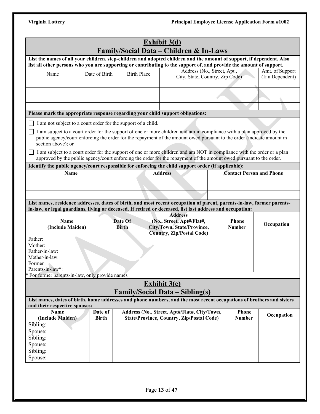|                                                                                |               |                                                               | <b>Exhibit 3(d)</b><br>Family/Social Data – Children & In-Laws                                                                                                                                                                                                                                                                                                              |                               |               |                                 |
|--------------------------------------------------------------------------------|---------------|---------------------------------------------------------------|-----------------------------------------------------------------------------------------------------------------------------------------------------------------------------------------------------------------------------------------------------------------------------------------------------------------------------------------------------------------------------|-------------------------------|---------------|---------------------------------|
|                                                                                |               |                                                               | List the names of all your children, step-children and adopted children and the amount of support, if dependent. Also                                                                                                                                                                                                                                                       |                               |               |                                 |
|                                                                                |               |                                                               | list all other persons who you are supporting or contributing to the support of, and provide the amount of support.<br>Address (No., Street, Apt.,                                                                                                                                                                                                                          |                               |               | Amt. of Support                 |
| Name                                                                           | Date of Birth | <b>Birth Place</b>                                            | City, State, Country, Zip Code)                                                                                                                                                                                                                                                                                                                                             |                               |               | (If a Dependent)                |
|                                                                                |               |                                                               |                                                                                                                                                                                                                                                                                                                                                                             |                               |               |                                 |
|                                                                                |               |                                                               |                                                                                                                                                                                                                                                                                                                                                                             |                               |               |                                 |
|                                                                                |               |                                                               |                                                                                                                                                                                                                                                                                                                                                                             |                               |               |                                 |
|                                                                                |               |                                                               |                                                                                                                                                                                                                                                                                                                                                                             |                               |               |                                 |
| Please mark the appropriate response regarding your child support obligations: |               |                                                               |                                                                                                                                                                                                                                                                                                                                                                             |                               |               |                                 |
|                                                                                |               | I am not subject to a court order for the support of a child. |                                                                                                                                                                                                                                                                                                                                                                             |                               |               |                                 |
| section above); or                                                             |               |                                                               | I am subject to a court order for the support of one or more children and am in compliance with a plan approved by the<br>public agency/court enforcing the order for the repayment of the amount owed pursuant to the order (indicate amount in<br>I am subject to a court order for the support of one or more children and am NOT in compliance with the order or a plan |                               |               |                                 |
|                                                                                |               |                                                               | approved by the public agency/court enforcing the order for the repayment of the amount owed pursuant to the order.                                                                                                                                                                                                                                                         |                               |               |                                 |
|                                                                                |               |                                                               | Identify the public agency/court responsible for enforcing the child support order (if applicable):                                                                                                                                                                                                                                                                         |                               |               |                                 |
| Name                                                                           |               |                                                               | <b>Address</b>                                                                                                                                                                                                                                                                                                                                                              |                               |               | <b>Contact Person and Phone</b> |
|                                                                                |               |                                                               |                                                                                                                                                                                                                                                                                                                                                                             |                               |               |                                 |
|                                                                                |               |                                                               |                                                                                                                                                                                                                                                                                                                                                                             |                               |               |                                 |
|                                                                                |               |                                                               |                                                                                                                                                                                                                                                                                                                                                                             |                               |               |                                 |
|                                                                                |               |                                                               |                                                                                                                                                                                                                                                                                                                                                                             |                               |               |                                 |
|                                                                                |               |                                                               | List names, residence addresses, dates of birth, and most recent occupation of parent, parents-in-law, former parents-                                                                                                                                                                                                                                                      |                               |               |                                 |
|                                                                                |               |                                                               | in-law, or legal guardians, living or deceased. If retired or deceased, list last address and occupation:<br><b>Address</b>                                                                                                                                                                                                                                                 |                               |               |                                 |
| Name<br>(Include Maiden)                                                       |               | Date Of<br><b>Birth</b>                                       | (No., Street, Apt#/Flat#,<br>City/Town, State/Province,                                                                                                                                                                                                                                                                                                                     | <b>Phone</b><br><b>Number</b> |               | Occupation                      |
| Father:                                                                        |               |                                                               | <b>Country, Zip/Postal Code)</b>                                                                                                                                                                                                                                                                                                                                            |                               |               |                                 |
| Mother:                                                                        |               |                                                               |                                                                                                                                                                                                                                                                                                                                                                             |                               |               |                                 |
| Father-in-law:                                                                 |               |                                                               |                                                                                                                                                                                                                                                                                                                                                                             |                               |               |                                 |
| Mother-in-law:                                                                 |               |                                                               |                                                                                                                                                                                                                                                                                                                                                                             |                               |               |                                 |
| Former                                                                         |               |                                                               |                                                                                                                                                                                                                                                                                                                                                                             |                               |               |                                 |
| Parents-in-law*:                                                               |               |                                                               |                                                                                                                                                                                                                                                                                                                                                                             |                               |               |                                 |
| * For former parents-in-law, only provide names                                |               |                                                               |                                                                                                                                                                                                                                                                                                                                                                             |                               |               |                                 |
|                                                                                |               |                                                               | <b>Exhibit 3(e)</b>                                                                                                                                                                                                                                                                                                                                                         |                               |               |                                 |
|                                                                                |               |                                                               | <b>Family/Social Data – Sibling(s)</b><br>List names, dates of birth, home addresses and phone numbers, and the most recent occupations of brothers and sisters                                                                                                                                                                                                             |                               |               |                                 |
| and their respective spouses:                                                  |               |                                                               |                                                                                                                                                                                                                                                                                                                                                                             |                               |               |                                 |
| <b>Name</b>                                                                    | Date of       |                                                               | Address (No., Street, Apt#/Flat#, City/Town,                                                                                                                                                                                                                                                                                                                                |                               | <b>Phone</b>  |                                 |
| (Include Maiden)                                                               | <b>Birth</b>  |                                                               | <b>State/Province, Country, Zip/Postal Code)</b>                                                                                                                                                                                                                                                                                                                            |                               | <b>Number</b> | Occupation                      |
| Sibling:                                                                       |               |                                                               |                                                                                                                                                                                                                                                                                                                                                                             |                               |               |                                 |
| Spouse:                                                                        |               |                                                               |                                                                                                                                                                                                                                                                                                                                                                             |                               |               |                                 |
| Sibling:                                                                       |               |                                                               |                                                                                                                                                                                                                                                                                                                                                                             |                               |               |                                 |
| Spouse:                                                                        |               |                                                               |                                                                                                                                                                                                                                                                                                                                                                             |                               |               |                                 |
| Sibling:<br>Spouse:                                                            |               |                                                               |                                                                                                                                                                                                                                                                                                                                                                             |                               |               |                                 |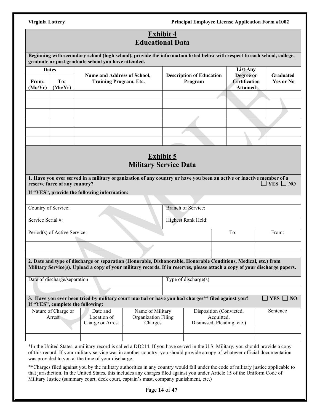# **Exhibit 4**

|                                  |                                     |                                                                                                                                                                                  |                                                    | <u>Exhibit 4</u><br><b>Educational Data</b> |                                                                     |                                                                         |                               |
|----------------------------------|-------------------------------------|----------------------------------------------------------------------------------------------------------------------------------------------------------------------------------|----------------------------------------------------|---------------------------------------------|---------------------------------------------------------------------|-------------------------------------------------------------------------|-------------------------------|
|                                  |                                     | Beginning with secondary school (high school), provide the information listed below with respect to each school, college,<br>graduate or post graduate school you have attended. |                                                    |                                             |                                                                     |                                                                         |                               |
| <b>Dates</b><br>From:<br>(Mo/Yr) | To:<br>(Mo/Yr)                      | Name and Address of School,<br><b>Training Program, Etc.</b>                                                                                                                     |                                                    |                                             | <b>Description of Education</b><br>Program                          | <b>List Any</b><br>Degree or<br><b>Certification</b><br><b>Attained</b> | <b>Graduated</b><br>Yes or No |
|                                  |                                     |                                                                                                                                                                                  |                                                    |                                             |                                                                     |                                                                         |                               |
|                                  |                                     |                                                                                                                                                                                  |                                                    |                                             |                                                                     |                                                                         |                               |
|                                  |                                     |                                                                                                                                                                                  | <b>Military Service Data</b>                       | <b>Exhibit 5</b>                            |                                                                     |                                                                         |                               |
|                                  | reserve force of any country?       | 1. Have you ever served in a military organization of any country or have you been an active or inactive member of a<br>If "YES", provide the following information:             |                                                    |                                             |                                                                     |                                                                         | $\Box$ YES $\Box$ NO          |
| Country of Service:              |                                     |                                                                                                                                                                                  |                                                    |                                             | <b>Branch of Service:</b>                                           |                                                                         |                               |
| Service Serial #:                |                                     |                                                                                                                                                                                  |                                                    |                                             | Highest Rank Held:                                                  |                                                                         |                               |
|                                  | Period(s) of Active Service:        |                                                                                                                                                                                  |                                                    |                                             |                                                                     | To:                                                                     | From:                         |
|                                  |                                     | 2. Date and type of discharge or separation (Honorable, Dishonorable, Honorable Conditions, Medical, etc.) from                                                                  |                                                    |                                             |                                                                     |                                                                         |                               |
|                                  |                                     | Military Service(s). Upload a copy of your military records. If in reserves, please attach a copy of your discharge papers.                                                      |                                                    |                                             |                                                                     |                                                                         |                               |
|                                  | Date of discharge/separation        |                                                                                                                                                                                  |                                                    |                                             | Type of discharge(s)                                                |                                                                         |                               |
|                                  |                                     | 3. Have you ever been tried by military court martial or have you had charges** filed against you?                                                                               |                                                    |                                             |                                                                     |                                                                         | $YES \Box NO$                 |
|                                  | Nature of Charge or<br>Arrest<br>G. | If "YES", complete the following:<br>Date and<br>Location of<br>Charge or Arrest                                                                                                 | Name of Military<br>Organization Filing<br>Charges |                                             | Disposition (Convicted,<br>Acquitted,<br>Dismissed, Pleading, etc.) |                                                                         | Sentence                      |
|                                  |                                     | *In the United States, a military record is called a DD214. If you have served in the U.S. Military, you should provide a copy                                                   |                                                    |                                             |                                                                     |                                                                         |                               |

of this record. If your military service was in another country, you should provide a copy of whatever official documentation was provided to you at the time of your discharge.

\*\*Charges filed against you by the military authorities in any country would fall under the code of military justice applicable to that jurisdiction. In the United States, this includes any charges filed against you under Article 15 of the Uniform Code of Military Justice (summary court, deck court, captain's mast, company punishment, etc.)

Page **14** of **47**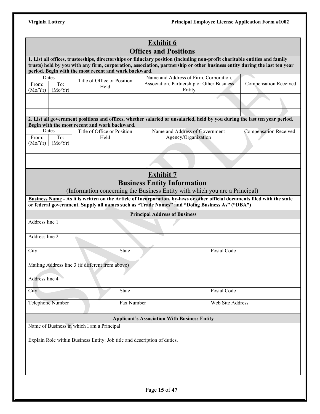|                                                                                                                                                                                                                      | <b>Exhibit 6</b><br><b>Offices and Positions</b>                          |                                                                                                                                                                                                                                                                                                                                                                      |                              |  |  |  |  |  |
|----------------------------------------------------------------------------------------------------------------------------------------------------------------------------------------------------------------------|---------------------------------------------------------------------------|----------------------------------------------------------------------------------------------------------------------------------------------------------------------------------------------------------------------------------------------------------------------------------------------------------------------------------------------------------------------|------------------------------|--|--|--|--|--|
|                                                                                                                                                                                                                      | period. Begin with the most recent and work backward.                     | 1. List all offices, trusteeships, directorships or fiduciary position (including non-profit charitable entities and family<br>trusts) held by you with any firm, corporation, association, partnership or other business entity during the last ten year                                                                                                            |                              |  |  |  |  |  |
| Dates<br>Name and Address of Firm, Corporation,<br>Title of Office or Position<br>Association, Partnership or Other Business<br>To:<br><b>Compensation Received</b><br>From:<br>Held<br>Entity<br>(Mo/Yr)<br>(Mo/Yr) |                                                                           |                                                                                                                                                                                                                                                                                                                                                                      |                              |  |  |  |  |  |
|                                                                                                                                                                                                                      |                                                                           |                                                                                                                                                                                                                                                                                                                                                                      |                              |  |  |  |  |  |
|                                                                                                                                                                                                                      |                                                                           |                                                                                                                                                                                                                                                                                                                                                                      |                              |  |  |  |  |  |
|                                                                                                                                                                                                                      | Begin with the most recent and work backward.                             | 2. List all government positions and offices, whether salaried or unsalaried, held by you during the last ten year period.                                                                                                                                                                                                                                           |                              |  |  |  |  |  |
| Dates<br>To:<br>From:<br>(Mo/Yr)<br>(Mo/Yr)                                                                                                                                                                          | Title of Office or Position<br>Held                                       | Name and Address of Government<br>Agency/Organization                                                                                                                                                                                                                                                                                                                | <b>Compensation Received</b> |  |  |  |  |  |
|                                                                                                                                                                                                                      |                                                                           |                                                                                                                                                                                                                                                                                                                                                                      |                              |  |  |  |  |  |
|                                                                                                                                                                                                                      |                                                                           |                                                                                                                                                                                                                                                                                                                                                                      |                              |  |  |  |  |  |
|                                                                                                                                                                                                                      |                                                                           | <b>Exhibit 7</b><br><b>Business Entity Information</b><br>(Information concerning the Business Entity with which you are a Principal)<br>Business Name - As it is written on the Article of Incorporation, by-laws or other official documents filed with the state<br>or federal government. Supply all names such as "Trade Names" and "Doing Business As" ("DBA") |                              |  |  |  |  |  |
|                                                                                                                                                                                                                      |                                                                           | <b>Principal Address of Business</b>                                                                                                                                                                                                                                                                                                                                 |                              |  |  |  |  |  |
| Address line 1                                                                                                                                                                                                       |                                                                           |                                                                                                                                                                                                                                                                                                                                                                      |                              |  |  |  |  |  |
| Address line 2                                                                                                                                                                                                       |                                                                           |                                                                                                                                                                                                                                                                                                                                                                      |                              |  |  |  |  |  |
| City                                                                                                                                                                                                                 | State                                                                     | Postal Code                                                                                                                                                                                                                                                                                                                                                          |                              |  |  |  |  |  |
|                                                                                                                                                                                                                      | Mailing Address line 3 (if different from above)                          |                                                                                                                                                                                                                                                                                                                                                                      |                              |  |  |  |  |  |
| Address line 4                                                                                                                                                                                                       |                                                                           |                                                                                                                                                                                                                                                                                                                                                                      |                              |  |  |  |  |  |
| City                                                                                                                                                                                                                 | <b>State</b>                                                              | Postal Code                                                                                                                                                                                                                                                                                                                                                          |                              |  |  |  |  |  |
| Telephone Number                                                                                                                                                                                                     | Fax Number                                                                | Web Site Address                                                                                                                                                                                                                                                                                                                                                     |                              |  |  |  |  |  |
| <b>Applicant's Association With Business Entity</b>                                                                                                                                                                  |                                                                           |                                                                                                                                                                                                                                                                                                                                                                      |                              |  |  |  |  |  |
|                                                                                                                                                                                                                      | Name of Business in which I am a Principal                                |                                                                                                                                                                                                                                                                                                                                                                      |                              |  |  |  |  |  |
|                                                                                                                                                                                                                      | Explain Role within Business Entity: Job title and description of duties. |                                                                                                                                                                                                                                                                                                                                                                      |                              |  |  |  |  |  |
|                                                                                                                                                                                                                      |                                                                           |                                                                                                                                                                                                                                                                                                                                                                      |                              |  |  |  |  |  |
|                                                                                                                                                                                                                      |                                                                           |                                                                                                                                                                                                                                                                                                                                                                      |                              |  |  |  |  |  |
|                                                                                                                                                                                                                      |                                                                           |                                                                                                                                                                                                                                                                                                                                                                      |                              |  |  |  |  |  |
|                                                                                                                                                                                                                      |                                                                           | Page 15 of 47                                                                                                                                                                                                                                                                                                                                                        |                              |  |  |  |  |  |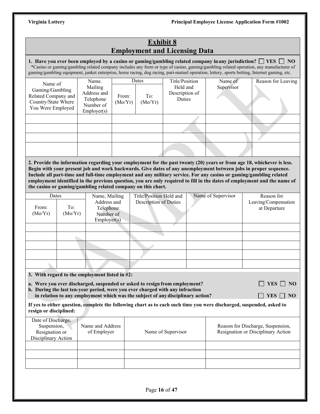# **Exhibit 8 Employment and Licensing Data**

**1. Have you ever been employed by a casino or gaming/gambling related company inany jurisdiction? YES NO** \*Casino or gaming/gambling related company includes any form or type of casino, gaming/gambling related operation, any manufacturer of gaming/gambling equipment, junket enterprise, horse racing, dog racing, pari-mutuel operation, lottery, sports betting, Internet gaming, etc.

| Name of                                                                            | Name.                                                           |                  | Dates          | Title/Position                       | Name of    | Reason for Leaving |
|------------------------------------------------------------------------------------|-----------------------------------------------------------------|------------------|----------------|--------------------------------------|------------|--------------------|
| Gaming/Gambling<br>Related Company and<br>Country/State Where<br>You Were Employed | Mailing<br>Address and<br>Telephone<br>Number of<br>Emplover(s) | From:<br>(Mo/Yr) | To:<br>(Mo/Yr) | Held and<br>Description of<br>Duties | Supervisor |                    |
|                                                                                    |                                                                 |                  |                |                                      |            |                    |
|                                                                                    |                                                                 |                  |                |                                      |            |                    |
|                                                                                    |                                                                 |                  |                |                                      |            |                    |
|                                                                                    |                                                                 |                  |                |                                      |            |                    |

**2. Provide the information regarding your employment for the past twenty (20) years or from age 18, whichever is less. Begin with your present job and work backwards. Give dates of any unemployment between jobs in proper sequence. Include all part-time and full-time employment and any military service. For any casino or gaming/gambling related employment identified in the previous question, you are only required to fill in the dates of employment and the name of the casino or gaming/gambling related company on this chart.**

| Dates            |                | Name, Mailing                                        | Title/Position Held and | Name of Supervisor | Reason for                           |
|------------------|----------------|------------------------------------------------------|-------------------------|--------------------|--------------------------------------|
| From:<br>(Mo/Yr) | To:<br>(Mo/Yr) | Address and<br>Telephone<br>Number of<br>Employer(s) | Description of Duties   |                    | Leaving/Compensation<br>at Departure |
|                  |                |                                                      |                         |                    |                                      |
|                  |                |                                                      |                         |                    |                                      |
|                  |                |                                                      |                         |                    |                                      |
|                  |                |                                                      |                         |                    |                                      |
|                  |                |                                                      |                         |                    |                                      |

**3. With regard to the employment listed in #2:**

**a.** Were you ever discharged, suspended or asked to resign from employment?  $\Box$  YES  $\Box$  NO

**b. During the last ten-year period, were you ever charged with any infraction in relation to any employment which was the subject of any disciplinary action?**  $\Box$  YES  $\Box$  NO

**If yes to either question, complete the following chart as to each such time you were discharged, suspended, asked to resign or disciplined:**

| Date of Discharge,<br>Suspension,<br>Resignation or<br>Disciplinary Action | Name and Address<br>of Employer | Name of Supervisor | Reason for Discharge, Suspension,<br>Resignation or Disciplinary Action |
|----------------------------------------------------------------------------|---------------------------------|--------------------|-------------------------------------------------------------------------|
|                                                                            |                                 |                    |                                                                         |
|                                                                            |                                 |                    |                                                                         |
|                                                                            |                                 |                    |                                                                         |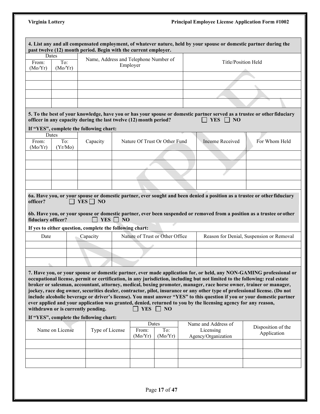|                    |                                    |                                         | 4. List any and all compensated employment, of whatever nature, held by your spouse or domestic partner during the<br>past twelve (12) month period. Begin with the current employer.                                                                                                                                                                                                                                                                                                                                                                                                                                                                                                                                                                                   |                                                         |                                          |
|--------------------|------------------------------------|-----------------------------------------|-------------------------------------------------------------------------------------------------------------------------------------------------------------------------------------------------------------------------------------------------------------------------------------------------------------------------------------------------------------------------------------------------------------------------------------------------------------------------------------------------------------------------------------------------------------------------------------------------------------------------------------------------------------------------------------------------------------------------------------------------------------------------|---------------------------------------------------------|------------------------------------------|
|                    | Dates                              |                                         |                                                                                                                                                                                                                                                                                                                                                                                                                                                                                                                                                                                                                                                                                                                                                                         |                                                         |                                          |
| From:              | To:                                |                                         | Name, Address and Telephone Number of                                                                                                                                                                                                                                                                                                                                                                                                                                                                                                                                                                                                                                                                                                                                   |                                                         | Title/Position Held                      |
| (Mo/Yr)            | (Mo/Yr)                            |                                         | Employer                                                                                                                                                                                                                                                                                                                                                                                                                                                                                                                                                                                                                                                                                                                                                                |                                                         |                                          |
|                    |                                    |                                         |                                                                                                                                                                                                                                                                                                                                                                                                                                                                                                                                                                                                                                                                                                                                                                         |                                                         |                                          |
|                    |                                    |                                         |                                                                                                                                                                                                                                                                                                                                                                                                                                                                                                                                                                                                                                                                                                                                                                         |                                                         |                                          |
|                    |                                    |                                         |                                                                                                                                                                                                                                                                                                                                                                                                                                                                                                                                                                                                                                                                                                                                                                         |                                                         |                                          |
|                    |                                    |                                         |                                                                                                                                                                                                                                                                                                                                                                                                                                                                                                                                                                                                                                                                                                                                                                         |                                                         |                                          |
|                    |                                    |                                         |                                                                                                                                                                                                                                                                                                                                                                                                                                                                                                                                                                                                                                                                                                                                                                         |                                                         |                                          |
|                    |                                    |                                         | 5. To the best of your knowledge, have you or has your spouse or domestic partner served as a trustee or other fiduciary<br>officer in any capacity during the last twelve (12) month period?                                                                                                                                                                                                                                                                                                                                                                                                                                                                                                                                                                           | YES $\Box$ NO                                           |                                          |
|                    |                                    | If "YES", complete the following chart: |                                                                                                                                                                                                                                                                                                                                                                                                                                                                                                                                                                                                                                                                                                                                                                         |                                                         |                                          |
|                    | Dates                              |                                         |                                                                                                                                                                                                                                                                                                                                                                                                                                                                                                                                                                                                                                                                                                                                                                         |                                                         |                                          |
| From:<br>(Mo/Yr)   | To:                                | Capacity                                | Nature Of Trust Or Other Fund                                                                                                                                                                                                                                                                                                                                                                                                                                                                                                                                                                                                                                                                                                                                           | Income Received                                         | For Whom Held                            |
|                    | (Yr/Mo)                            |                                         |                                                                                                                                                                                                                                                                                                                                                                                                                                                                                                                                                                                                                                                                                                                                                                         |                                                         |                                          |
|                    |                                    |                                         |                                                                                                                                                                                                                                                                                                                                                                                                                                                                                                                                                                                                                                                                                                                                                                         |                                                         |                                          |
|                    |                                    |                                         |                                                                                                                                                                                                                                                                                                                                                                                                                                                                                                                                                                                                                                                                                                                                                                         |                                                         |                                          |
|                    |                                    |                                         |                                                                                                                                                                                                                                                                                                                                                                                                                                                                                                                                                                                                                                                                                                                                                                         |                                                         |                                          |
|                    |                                    |                                         |                                                                                                                                                                                                                                                                                                                                                                                                                                                                                                                                                                                                                                                                                                                                                                         |                                                         |                                          |
|                    |                                    |                                         |                                                                                                                                                                                                                                                                                                                                                                                                                                                                                                                                                                                                                                                                                                                                                                         |                                                         |                                          |
| fiduciary officer? |                                    | $YES \Box NO$<br>YES $\Box$             | 6b. Have you, or your spouse or domestic partner, ever been suspended or removed from a position as a trustee or other<br>NO                                                                                                                                                                                                                                                                                                                                                                                                                                                                                                                                                                                                                                            |                                                         |                                          |
|                    |                                    |                                         | If yes to either question, complete the following chart:                                                                                                                                                                                                                                                                                                                                                                                                                                                                                                                                                                                                                                                                                                                |                                                         |                                          |
| Date               |                                    | Capacity                                | Nature of Trust or Other Office                                                                                                                                                                                                                                                                                                                                                                                                                                                                                                                                                                                                                                                                                                                                         |                                                         |                                          |
|                    |                                    |                                         |                                                                                                                                                                                                                                                                                                                                                                                                                                                                                                                                                                                                                                                                                                                                                                         |                                                         |                                          |
|                    |                                    |                                         |                                                                                                                                                                                                                                                                                                                                                                                                                                                                                                                                                                                                                                                                                                                                                                         |                                                         | Reason for Denial, Suspension or Removal |
|                    |                                    |                                         |                                                                                                                                                                                                                                                                                                                                                                                                                                                                                                                                                                                                                                                                                                                                                                         |                                                         |                                          |
|                    | withdrawn or is currently pending. |                                         | 7. Have you, or your spouse or domestic partner, ever made application for, or held, any NON-GAMING professional or<br>occupational license, permit or certification, in any jurisdiction, including but not limited to the following: real estate<br>broker or salesman, accountant, attorney, medical, boxing promoter, manager, race horse owner, trainer or manager,<br>jockey, race dog owner, securities dealer, contractor, pilot, insurance or any other type of professional license. (Do not<br>include alcoholic beverage or driver's license). You must answer "YES" to this question if you or your domestic partner<br>ever applied and your application was granted, denied, returned to you by the licensing agency for any reason,<br><b>YES</b><br>NO |                                                         |                                          |
|                    |                                    | If "YES", complete the following chart: |                                                                                                                                                                                                                                                                                                                                                                                                                                                                                                                                                                                                                                                                                                                                                                         |                                                         |                                          |
|                    | Name on License                    | Type of License                         | Dates<br>To:<br>From:<br>(Mo/Yr)<br>(Mo/Yr)                                                                                                                                                                                                                                                                                                                                                                                                                                                                                                                                                                                                                                                                                                                             | Name and Address of<br>Licensing<br>Agency/Organization | Disposition of the<br>Application        |
|                    |                                    |                                         |                                                                                                                                                                                                                                                                                                                                                                                                                                                                                                                                                                                                                                                                                                                                                                         |                                                         |                                          |
|                    |                                    |                                         |                                                                                                                                                                                                                                                                                                                                                                                                                                                                                                                                                                                                                                                                                                                                                                         |                                                         |                                          |
|                    |                                    |                                         |                                                                                                                                                                                                                                                                                                                                                                                                                                                                                                                                                                                                                                                                                                                                                                         |                                                         |                                          |
|                    |                                    |                                         |                                                                                                                                                                                                                                                                                                                                                                                                                                                                                                                                                                                                                                                                                                                                                                         |                                                         |                                          |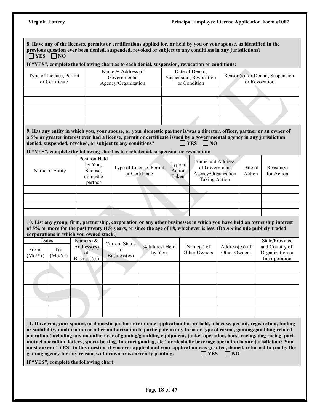# **Principal Employee License Application Form #1002**

|                  | $\exists$ YES $\Box$ NO                                            |                                           |                                                           |                                                                                     |                            |            | 8. Have any of the licenses, permits or certifications applied for, or held by you or your spouse, as identified in the<br>previous question ever been denied, suspended, revoked or subject to any conditions in any jurisdictions? |                                |                   |                                                                                                                                                                                                                                                                                                                                                                                                                                                                                                                                                                                                                                             |
|------------------|--------------------------------------------------------------------|-------------------------------------------|-----------------------------------------------------------|-------------------------------------------------------------------------------------|----------------------------|------------|--------------------------------------------------------------------------------------------------------------------------------------------------------------------------------------------------------------------------------------|--------------------------------|-------------------|---------------------------------------------------------------------------------------------------------------------------------------------------------------------------------------------------------------------------------------------------------------------------------------------------------------------------------------------------------------------------------------------------------------------------------------------------------------------------------------------------------------------------------------------------------------------------------------------------------------------------------------------|
|                  |                                                                    |                                           |                                                           |                                                                                     |                            |            | If "YES", complete the following chart as to each denial, suspension, revocation or conditions:                                                                                                                                      |                                |                   |                                                                                                                                                                                                                                                                                                                                                                                                                                                                                                                                                                                                                                             |
|                  | Type of License, Permit<br>or Certificate                          |                                           | Name & Address of<br>Governmental<br>Agency/Organization  |                                                                                     |                            |            | Date of Denial,<br>Suspension, Revocation<br>or Condition                                                                                                                                                                            |                                |                   | Reason(s) for Denial, Suspension,<br>or Revocation                                                                                                                                                                                                                                                                                                                                                                                                                                                                                                                                                                                          |
|                  |                                                                    |                                           |                                                           |                                                                                     |                            |            |                                                                                                                                                                                                                                      |                                |                   |                                                                                                                                                                                                                                                                                                                                                                                                                                                                                                                                                                                                                                             |
|                  |                                                                    |                                           |                                                           |                                                                                     |                            |            |                                                                                                                                                                                                                                      |                                |                   |                                                                                                                                                                                                                                                                                                                                                                                                                                                                                                                                                                                                                                             |
|                  |                                                                    |                                           |                                                           |                                                                                     |                            |            |                                                                                                                                                                                                                                      |                                |                   |                                                                                                                                                                                                                                                                                                                                                                                                                                                                                                                                                                                                                                             |
|                  |                                                                    |                                           |                                                           |                                                                                     |                            |            |                                                                                                                                                                                                                                      |                                |                   |                                                                                                                                                                                                                                                                                                                                                                                                                                                                                                                                                                                                                                             |
|                  |                                                                    |                                           |                                                           |                                                                                     |                            |            |                                                                                                                                                                                                                                      |                                |                   |                                                                                                                                                                                                                                                                                                                                                                                                                                                                                                                                                                                                                                             |
|                  |                                                                    |                                           | denied, suspended, revoked, or subject to any conditions? | If "YES", complete the following chart as to each denial, suspension or revocation: |                            | $\Box$ YES | $\Box$ NO                                                                                                                                                                                                                            |                                |                   | 9. Has any entity in which you, your spouse, or your domestic partner is/was a director, officer, partner or an owner of<br>a 5% or greater interest ever had a license, permit or certificate issued by a governmental agency in any jurisdiction                                                                                                                                                                                                                                                                                                                                                                                          |
|                  |                                                                    | <b>Position Held</b>                      |                                                           |                                                                                     |                            |            |                                                                                                                                                                                                                                      |                                |                   |                                                                                                                                                                                                                                                                                                                                                                                                                                                                                                                                                                                                                                             |
|                  | Name of Entity                                                     | by You,<br>Spouse,<br>domestic<br>partner |                                                           | Type of License, Permit<br>or Certificate                                           | Type of<br>Action<br>Taken |            | Name and Address<br>of Government<br>Agency/Organization<br><b>Taking Action</b>                                                                                                                                                     |                                | Date of<br>Action | Reason(s)<br>for Action                                                                                                                                                                                                                                                                                                                                                                                                                                                                                                                                                                                                                     |
|                  |                                                                    |                                           |                                                           |                                                                                     |                            |            |                                                                                                                                                                                                                                      |                                |                   |                                                                                                                                                                                                                                                                                                                                                                                                                                                                                                                                                                                                                                             |
|                  |                                                                    |                                           |                                                           |                                                                                     |                            |            |                                                                                                                                                                                                                                      |                                |                   |                                                                                                                                                                                                                                                                                                                                                                                                                                                                                                                                                                                                                                             |
|                  |                                                                    |                                           |                                                           |                                                                                     |                            |            |                                                                                                                                                                                                                                      |                                |                   |                                                                                                                                                                                                                                                                                                                                                                                                                                                                                                                                                                                                                                             |
| From:<br>(Mo/Yr) | corporations in which you owned stock.)<br>Dates<br>To:<br>(Mo/Yr) | Name(s) $&$<br>Address(es)<br>of          | <b>Current Status</b><br>of<br>Business(es)               | % Interest Held<br>by You                                                           |                            |            | Name $(s)$ of<br>Other Owners                                                                                                                                                                                                        | Address(es) of<br>Other Owners |                   | 10. List any group, firm, partnership, corporation or any other businesses in which you have held an ownership interest<br>of 5% or more for the past twenty (15) years, or since the age of 18, whichever is less. (Do not include publicly traded<br>State/Province<br>and Country of<br>Organization or                                                                                                                                                                                                                                                                                                                                  |
|                  |                                                                    | Business(es)                              |                                                           |                                                                                     |                            |            |                                                                                                                                                                                                                                      |                                |                   | Incorporation                                                                                                                                                                                                                                                                                                                                                                                                                                                                                                                                                                                                                               |
|                  |                                                                    |                                           |                                                           |                                                                                     |                            |            |                                                                                                                                                                                                                                      |                                |                   |                                                                                                                                                                                                                                                                                                                                                                                                                                                                                                                                                                                                                                             |
|                  |                                                                    |                                           |                                                           |                                                                                     |                            |            |                                                                                                                                                                                                                                      |                                |                   |                                                                                                                                                                                                                                                                                                                                                                                                                                                                                                                                                                                                                                             |
|                  |                                                                    |                                           |                                                           |                                                                                     |                            |            |                                                                                                                                                                                                                                      |                                |                   |                                                                                                                                                                                                                                                                                                                                                                                                                                                                                                                                                                                                                                             |
|                  |                                                                    |                                           |                                                           |                                                                                     |                            |            |                                                                                                                                                                                                                                      |                                |                   |                                                                                                                                                                                                                                                                                                                                                                                                                                                                                                                                                                                                                                             |
|                  |                                                                    |                                           |                                                           |                                                                                     |                            |            |                                                                                                                                                                                                                                      |                                |                   |                                                                                                                                                                                                                                                                                                                                                                                                                                                                                                                                                                                                                                             |
|                  |                                                                    |                                           |                                                           |                                                                                     |                            |            |                                                                                                                                                                                                                                      |                                |                   |                                                                                                                                                                                                                                                                                                                                                                                                                                                                                                                                                                                                                                             |
|                  |                                                                    |                                           |                                                           |                                                                                     |                            |            |                                                                                                                                                                                                                                      |                                |                   |                                                                                                                                                                                                                                                                                                                                                                                                                                                                                                                                                                                                                                             |
|                  | If "YES", complete the following chart:                            |                                           |                                                           | gaming agency for any reason, withdrawn or is currently pending.                    |                            |            | $\neg$ YES                                                                                                                                                                                                                           | $\blacksquare$ NO              |                   | 11. Have you, your spouse, or domestic partner ever made application for, or held, a license, permit, registration, finding<br>or suitability, qualification or other authorization to participate in any form or type of casino, gaming/gambling related<br>operation (including any manufacturer of gaming/gambling equipment, junket operation, horse racing, dog racing, pari-<br>mutuel operation, lottery, sports betting, Internet gaming, etc.) or alcoholic beverage operation in any jurisdiction? You<br>must answer "YES" to this question if you ever applied and your application was granted, denied, returned to you by the |
|                  |                                                                    |                                           |                                                           | Page 18 of 47                                                                       |                            |            |                                                                                                                                                                                                                                      |                                |                   |                                                                                                                                                                                                                                                                                                                                                                                                                                                                                                                                                                                                                                             |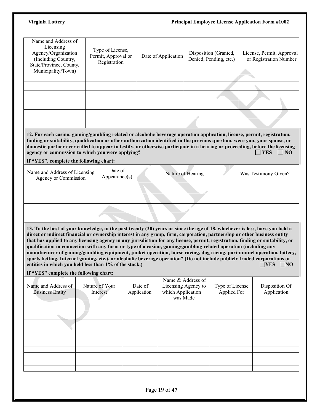| Name and Address of<br>Licensing<br>Agency/Organization<br>(Including Country,<br>State/Province, County,<br>Municipality/Town) | Type of License,<br>Permit, Approval or<br>Registration | Date of Application | Disposition (Granted,<br>Denied, Pending, etc.) | License, Permit, Approval<br>or Registration Number |
|---------------------------------------------------------------------------------------------------------------------------------|---------------------------------------------------------|---------------------|-------------------------------------------------|-----------------------------------------------------|
|                                                                                                                                 |                                                         |                     |                                                 |                                                     |
|                                                                                                                                 |                                                         |                     |                                                 |                                                     |
|                                                                                                                                 |                                                         |                     |                                                 |                                                     |
|                                                                                                                                 |                                                         |                     |                                                 |                                                     |
|                                                                                                                                 |                                                         |                     |                                                 |                                                     |
|                                                                                                                                 |                                                         |                     |                                                 |                                                     |

**12. For each casino, gaming/gambling related or alcoholic beverage operation application, license, permit, registration, finding or suitability, qualification or other authorization identified in the previous question, were you, your spouse, or domestic partner ever called to appear to testify, or otherwise participate in a hearing or proceeding, before the licensing agency or commission to which you were applying? <br>NO agency** or commission to which you were applying?

### **If "YES", complete the following chart:**

| Name and Address of Licensing<br>Agency or Commission | Date of<br>$\text{Appearance(s)}$ | Nature of Hearing<br>Was Testimony Given? |
|-------------------------------------------------------|-----------------------------------|-------------------------------------------|
|                                                       |                                   |                                           |
|                                                       |                                   |                                           |
|                                                       |                                   |                                           |
|                                                       |                                   |                                           |

**13. To the best of your knowledge, in the past twenty (20) years or since the age of 18, whichever is less, have you held a direct or indirect financial or ownership interest in any group, firm, corporation, partnership or other business entity that has applied to any licensing agency in any jurisdiction for any license, permit, registration, finding or suitability, or qualification in connection with any form or type of a casino, gaming/gambling related operation (including any manufacturer of gaming/gambling equipment, junket operation, horse racing, dog racing, pari-mutuel operation, lottery, sports betting, Internet gaming, etc.), or alcoholic beverage operation? (Do not include publicly traded corporations or entities in which you held less than 1% of the stock.) <br>NO entities in which you held less than 1% of the stock.)** 

### **If "YES" complete the following chart:**

| Name and Address of<br><b>Business Entity</b> | Nature of Your<br>Interest | Date of<br>Application | Name & Address of<br>Licensing Agency to<br>which Application<br>was Made | Type of License<br>Applied For | Disposition Of<br>Application |
|-----------------------------------------------|----------------------------|------------------------|---------------------------------------------------------------------------|--------------------------------|-------------------------------|
|                                               |                            |                        |                                                                           |                                |                               |
|                                               |                            |                        |                                                                           |                                |                               |
|                                               |                            |                        |                                                                           |                                |                               |
|                                               |                            |                        |                                                                           |                                |                               |
|                                               |                            |                        |                                                                           |                                |                               |
|                                               |                            |                        |                                                                           |                                |                               |
|                                               |                            |                        |                                                                           |                                |                               |
|                                               |                            |                        |                                                                           |                                |                               |
|                                               |                            |                        |                                                                           |                                |                               |
|                                               |                            |                        |                                                                           |                                |                               |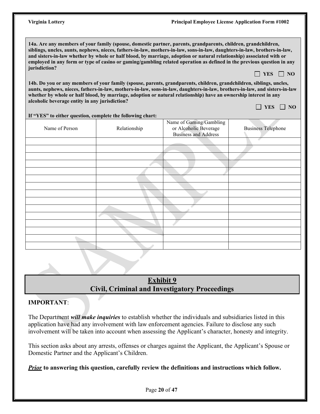**14a. Are any members of your family (spouse, domestic partner, parents, grandparents, children, grandchildren, siblings, uncles, aunts, nephews, nieces, fathers-in-law, mothers-in-law, sons-in-law, daughters-in-law, brothers-in-law, and sisters-in-law whether by whole or half blood, by marriage, adoption or natural relationship) associated with or employed in any form or type of casino or gaming/gambling related operation as defined in the previous question in any jurisdiction?**  $\Box$  YES  $\Box$  NO

**14b. Do you or any members of your family (spouse, parents, grandparents, children, grandchildren, siblings, uncles, aunts, nephews, nieces, fathers-in-law, mothers-in-law, sons-in-law, daughters-in-law, brothers-in-law, and sisters-in-law whether by whole or half blood, by marriage, adoption or natural relationship) have an ownership interest in any alcoholic beverage entity in any jurisdiction?**  $\Box$  YES  $\Box$  NO

|                | If "YES" to either question, complete the following chart: |                                                                                 |                           |
|----------------|------------------------------------------------------------|---------------------------------------------------------------------------------|---------------------------|
| Name of Person | Relationship                                               | Name of Gaming/Gambling<br>or Alcoholic Beverage<br><b>Business and Address</b> | <b>Business Telephone</b> |
|                |                                                            |                                                                                 |                           |
|                |                                                            |                                                                                 |                           |
|                |                                                            |                                                                                 |                           |
|                |                                                            |                                                                                 |                           |
|                |                                                            |                                                                                 |                           |
|                |                                                            |                                                                                 |                           |
|                |                                                            |                                                                                 |                           |
|                |                                                            |                                                                                 |                           |
|                |                                                            |                                                                                 |                           |
|                |                                                            |                                                                                 |                           |
|                |                                                            |                                                                                 |                           |
|                |                                                            |                                                                                 |                           |
|                |                                                            |                                                                                 |                           |
|                |                                                            |                                                                                 |                           |
|                |                                                            |                                                                                 |                           |
|                |                                                            |                                                                                 |                           |

# **Exhibit 9 Civil, Criminal and Investigatory Proceedings**

# **IMPORTANT**:

The Department *will make inquiries* to establish whether the individuals and subsidiaries listed in this application have had any involvement with law enforcement agencies. Failure to disclose any such involvement will be taken into account when assessing the Applicant's character, honesty and integrity.

This section asks about any arrests, offenses or charges against the Applicant, the Applicant's Spouse or Domestic Partner and the Applicant's Children.

*Prior* **to answering this question, carefully review the definitions and instructions which follow.**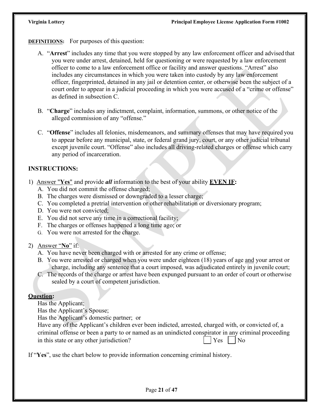**DEFINITIONS:** For purposes of this question:

- A. "**Arrest**" includes any time that you were stopped by any law enforcement officer and advised that you were under arrest, detained, held for questioning or were requested by a law enforcement officer to come to a law enforcement office or facility and answer questions. "Arrest" also includes any circumstances in which you were taken into custody by any law enforcement officer, fingerprinted, detained in any jail or detention center, or otherwise been the subject of a court order to appear in a judicial proceeding in which you were accused of a "crime or offense" as defined in subsection C.
- B. "**Charge**" includes any indictment, complaint, information, summons, or other notice of the alleged commission of any "offense."
- C. "**Offense**" includes all felonies, misdemeanors, and summary offenses that may have required you to appear before any municipal, state, or federal grand jury, court, or any other judicial tribunal except juvenile court. "Offense" also includes all driving-related charges or offense which carry any period of incarceration.

# **INSTRUCTIONS:**

- 1) Answer "**Yes**" and provide *all* information to the best of your ability **EVEN IF:**
	- A. You did not commit the offense charged;
	- B. The charges were dismissed or downgraded to a lesser charge;
	- C. You completed a pretrial intervention or other rehabilitation or diversionary program;
	- D. You were not convicted;
	- E. You did not serve any time in a correctional facility;
	- F. The charges or offenses happened a long time ago; or
	- G. You were not arrested for the charge.
- 2) Answer "**No**" if:
	- A. You have never been charged with or arrested for any crime or offense;
	- B. You were arrested or charged when you were under eighteen (18) years of age and your arrest or charge, including any sentence that a court imposed, was adjudicated entirely in juvenile court;
	- C. The records of the charge or arrest have been expunged pursuant to an order of court or otherwise sealed by a court of competent jurisdiction.

# **Question:**

Has the Applicant;

Has the Applicant's Spouse;

Has the Applicant's domestic partner; or

| Have any of the Applicant's children ever been indicted, arrested, charged with, or convicted of, a  |                            |  |
|------------------------------------------------------------------------------------------------------|----------------------------|--|
| criminal offense or been a party to or named as an unindicted conspirator in any criminal proceeding |                            |  |
| in this state or any other jurisdiction?                                                             | $\bigcap$ Yes $\bigcap$ No |  |

If "**Yes**", use the chart below to provide information concerning criminal history.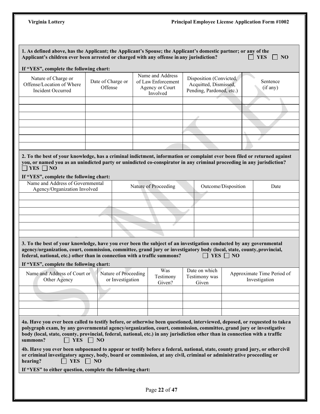| 1. As defined above, has the Applicant; the Applicant's Spouse; the Applicant's domestic partner; or any of the<br>Applicant's children ever been arrested or charged with any offense in any jurisdiction?<br>If "YES", complete the following chart:                                                                                                                                                                                                                                                                                                                                                                                                           |                              |                                          |                                                                       |                                                                              |                     | <b>YES</b><br>$\overline{\phantom{0}}$ NO   |
|------------------------------------------------------------------------------------------------------------------------------------------------------------------------------------------------------------------------------------------------------------------------------------------------------------------------------------------------------------------------------------------------------------------------------------------------------------------------------------------------------------------------------------------------------------------------------------------------------------------------------------------------------------------|------------------------------|------------------------------------------|-----------------------------------------------------------------------|------------------------------------------------------------------------------|---------------------|---------------------------------------------|
| Nature of Charge or<br>Offense/Location of Where<br>Incident Occurred                                                                                                                                                                                                                                                                                                                                                                                                                                                                                                                                                                                            | Date of Charge or<br>Offense |                                          | Name and Address<br>of Law Enforcement<br>Agency or Court<br>Involved | Disposition (Convicted,<br>Acquitted, Dismissed,<br>Pending, Pardoned, etc.) |                     | Sentence<br>(if any)                        |
|                                                                                                                                                                                                                                                                                                                                                                                                                                                                                                                                                                                                                                                                  |                              |                                          |                                                                       |                                                                              |                     |                                             |
|                                                                                                                                                                                                                                                                                                                                                                                                                                                                                                                                                                                                                                                                  |                              |                                          |                                                                       |                                                                              |                     |                                             |
|                                                                                                                                                                                                                                                                                                                                                                                                                                                                                                                                                                                                                                                                  |                              |                                          |                                                                       |                                                                              |                     |                                             |
|                                                                                                                                                                                                                                                                                                                                                                                                                                                                                                                                                                                                                                                                  |                              |                                          |                                                                       |                                                                              |                     |                                             |
|                                                                                                                                                                                                                                                                                                                                                                                                                                                                                                                                                                                                                                                                  |                              |                                          |                                                                       |                                                                              |                     |                                             |
|                                                                                                                                                                                                                                                                                                                                                                                                                                                                                                                                                                                                                                                                  |                              |                                          |                                                                       |                                                                              |                     |                                             |
| 2. To the best of your knowledge, has a criminal indictment, information or complaint ever been filed or returned against<br>you, or named you as an unindicted party or unindicted co-conspirator in any criminal proceeding in any jurisdiction?<br>$\Box$ YES $\Box$ NO<br>If "YES", complete the following chart:                                                                                                                                                                                                                                                                                                                                            |                              |                                          |                                                                       |                                                                              |                     |                                             |
| Name and Address of Governmental<br>Agency/Organization Involved                                                                                                                                                                                                                                                                                                                                                                                                                                                                                                                                                                                                 |                              |                                          | Nature of Proceeding                                                  |                                                                              | Outcome/Disposition | Date                                        |
|                                                                                                                                                                                                                                                                                                                                                                                                                                                                                                                                                                                                                                                                  |                              |                                          |                                                                       |                                                                              |                     |                                             |
|                                                                                                                                                                                                                                                                                                                                                                                                                                                                                                                                                                                                                                                                  |                              |                                          |                                                                       |                                                                              |                     |                                             |
|                                                                                                                                                                                                                                                                                                                                                                                                                                                                                                                                                                                                                                                                  |                              |                                          |                                                                       |                                                                              |                     |                                             |
|                                                                                                                                                                                                                                                                                                                                                                                                                                                                                                                                                                                                                                                                  |                              |                                          |                                                                       |                                                                              |                     |                                             |
|                                                                                                                                                                                                                                                                                                                                                                                                                                                                                                                                                                                                                                                                  |                              |                                          |                                                                       |                                                                              |                     |                                             |
| 3. To the best of your knowledge, have you ever been the subject of an investigation conducted by any governmental<br>agency/organization, court, commission, committee, grand jury or investigatory body (local, state, county, provincial,<br>federal, national, etc.) other than in connection with a traffic summons?<br>If "YES", complete the following chart:                                                                                                                                                                                                                                                                                             |                              |                                          |                                                                       | $\Box$ YES $\Box$ NO                                                         |                     |                                             |
| Name and Address of Court or<br>Other Agency                                                                                                                                                                                                                                                                                                                                                                                                                                                                                                                                                                                                                     |                              | Nature of Proceeding<br>or Investigation | Was<br>Testimony<br>Given?                                            | Date on which<br>Testimony was<br>Given                                      |                     | Approximate Time Period of<br>Investigation |
|                                                                                                                                                                                                                                                                                                                                                                                                                                                                                                                                                                                                                                                                  |                              |                                          |                                                                       |                                                                              |                     |                                             |
|                                                                                                                                                                                                                                                                                                                                                                                                                                                                                                                                                                                                                                                                  |                              |                                          |                                                                       |                                                                              |                     |                                             |
|                                                                                                                                                                                                                                                                                                                                                                                                                                                                                                                                                                                                                                                                  |                              |                                          |                                                                       |                                                                              |                     |                                             |
| 4a. Have you ever been called to testify before, or otherwise been questioned, interviewed, deposed, or requested to take a<br>polygraph exam, by any governmental agency/organization, court, commission, committee, grand jury or investigative<br>body (local, state, county, provincial, federal, national, etc.) in any jurisdiction other than in connection with a traffic<br>summons?<br>$\Box$ YES<br>4b. Have you ever been subpoenaed to appear or testify before a federal, national, state, county grand jury, or othercivil<br>or criminal investigatory agency, body, board or commission, at any civil, criminal or administrative proceeding or | $\vert$   NO                 |                                          |                                                                       |                                                                              |                     |                                             |
| $\top$ YES $\Box$ NO<br>hearing?                                                                                                                                                                                                                                                                                                                                                                                                                                                                                                                                                                                                                                 |                              |                                          |                                                                       |                                                                              |                     |                                             |
| If "YES" to either question, complete the following chart:                                                                                                                                                                                                                                                                                                                                                                                                                                                                                                                                                                                                       |                              |                                          |                                                                       |                                                                              |                     |                                             |
|                                                                                                                                                                                                                                                                                                                                                                                                                                                                                                                                                                                                                                                                  |                              |                                          | Page 22 of 47                                                         |                                                                              |                     |                                             |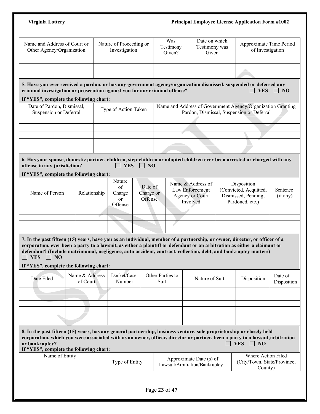|                                                                                                                                                                                                                                                                                                                                                                                                                       |                            | <b>Principal Employee License Application Form #1002</b> |                                 |                                                                     |                                         |  |                                                                                                          |                      |  |
|-----------------------------------------------------------------------------------------------------------------------------------------------------------------------------------------------------------------------------------------------------------------------------------------------------------------------------------------------------------------------------------------------------------------------|----------------------------|----------------------------------------------------------|---------------------------------|---------------------------------------------------------------------|-----------------------------------------|--|----------------------------------------------------------------------------------------------------------|----------------------|--|
| Name and Address of Court or<br>Other Agency/Organization                                                                                                                                                                                                                                                                                                                                                             |                            | Nature of Proceeding or<br>Investigation                 |                                 | Was<br>Testimony<br>Given?                                          | Date on which<br>Testimony was<br>Given |  | Approximate Time Period<br>of Investigation                                                              |                      |  |
|                                                                                                                                                                                                                                                                                                                                                                                                                       |                            |                                                          |                                 |                                                                     |                                         |  |                                                                                                          |                      |  |
|                                                                                                                                                                                                                                                                                                                                                                                                                       |                            |                                                          |                                 |                                                                     |                                         |  |                                                                                                          |                      |  |
| 5. Have you ever received a pardon, or has any government agency/organization dismissed, suspended or deferred any<br>criminal investigation or prosecution against you for any criminal offense?                                                                                                                                                                                                                     |                            |                                                          |                                 |                                                                     |                                         |  | <b>YES</b>                                                                                               | $\parallel$ NO       |  |
| If "YES", complete the following chart:                                                                                                                                                                                                                                                                                                                                                                               |                            |                                                          |                                 |                                                                     |                                         |  |                                                                                                          |                      |  |
| Date of Pardon, Dismissal,<br>Suspension or Deferral                                                                                                                                                                                                                                                                                                                                                                  |                            | Type of Action Taken                                     |                                 |                                                                     |                                         |  | Name and Address of Government Agency/Organization Granting<br>Pardon, Dismissal, Suspension or Deferral |                      |  |
|                                                                                                                                                                                                                                                                                                                                                                                                                       |                            |                                                          |                                 |                                                                     |                                         |  |                                                                                                          |                      |  |
|                                                                                                                                                                                                                                                                                                                                                                                                                       |                            |                                                          |                                 |                                                                     |                                         |  |                                                                                                          |                      |  |
|                                                                                                                                                                                                                                                                                                                                                                                                                       |                            |                                                          |                                 |                                                                     |                                         |  |                                                                                                          |                      |  |
|                                                                                                                                                                                                                                                                                                                                                                                                                       |                            |                                                          |                                 |                                                                     |                                         |  |                                                                                                          |                      |  |
| 6. Has your spouse, domestic partner, children, step-children or adopted children ever been arrested or charged with any<br>offense in any jurisdiction?<br>If "YES", complete the following chart:                                                                                                                                                                                                                   |                            | <b>YES</b>                                               | $\Box$ NO                       |                                                                     |                                         |  |                                                                                                          |                      |  |
| Name of Person                                                                                                                                                                                                                                                                                                                                                                                                        | Relationship               | Nature<br>of<br>Charge<br>or                             | Date of<br>Charge or<br>Offense | Name & Address of<br>Law Enforcement<br>Agency or Court<br>Involved |                                         |  | Disposition<br>(Convicted, Acquitted,<br>Dismissed, Pending,<br>Pardoned, etc.)                          | Sentence<br>(if any) |  |
|                                                                                                                                                                                                                                                                                                                                                                                                                       |                            | Offense                                                  |                                 |                                                                     |                                         |  |                                                                                                          |                      |  |
|                                                                                                                                                                                                                                                                                                                                                                                                                       |                            |                                                          |                                 |                                                                     |                                         |  |                                                                                                          |                      |  |
|                                                                                                                                                                                                                                                                                                                                                                                                                       |                            |                                                          |                                 |                                                                     |                                         |  |                                                                                                          |                      |  |
|                                                                                                                                                                                                                                                                                                                                                                                                                       |                            |                                                          |                                 |                                                                     |                                         |  |                                                                                                          |                      |  |
| <b>YES</b><br>NO<br>$\mathbf{I}$                                                                                                                                                                                                                                                                                                                                                                                      |                            |                                                          |                                 |                                                                     |                                         |  |                                                                                                          |                      |  |
| Date Filed                                                                                                                                                                                                                                                                                                                                                                                                            | Name & Address<br>of Court | Docket/Case<br>Number                                    |                                 | Other Parties to<br>Suit                                            | Nature of Suit                          |  | Disposition                                                                                              | Date of              |  |
|                                                                                                                                                                                                                                                                                                                                                                                                                       |                            |                                                          |                                 |                                                                     |                                         |  |                                                                                                          |                      |  |
| 7. In the past fifteen (15) years, have you as an individual, member of a partnership, or owner, director, or officer of a<br>corporation, ever been a party to a lawsuit, as either a plaintiff or defendant or an arbitration as either a claimant or<br>defendant? (Include matrimonial, negligence, auto accident, contract, collection, debt, and bankruptcy matters)<br>If "YES", complete the following chart: |                            |                                                          |                                 |                                                                     |                                         |  |                                                                                                          | Disposition          |  |
|                                                                                                                                                                                                                                                                                                                                                                                                                       |                            |                                                          |                                 |                                                                     |                                         |  |                                                                                                          |                      |  |
| 8. In the past fifteen (15) years, has any general partnership, business venture, sole proprietorship or closely held<br>corporation, which you were associated with as an owner, officer, director or partner, been a party to a lawsuit, arbitration<br>or bankruptcy?<br>If "YES", complete the following chart:                                                                                                   |                            |                                                          |                                 |                                                                     |                                         |  | <b>YES</b><br>$\Box$ NO                                                                                  |                      |  |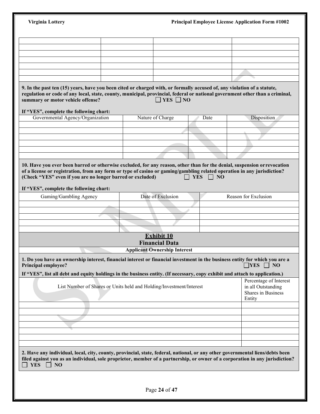| <b>Virginia Lottery</b>                                                                                                                                                                                                                                                                      |                                                                     |      | <b>Principal Employee License Application Form #1002</b>                     |
|----------------------------------------------------------------------------------------------------------------------------------------------------------------------------------------------------------------------------------------------------------------------------------------------|---------------------------------------------------------------------|------|------------------------------------------------------------------------------|
|                                                                                                                                                                                                                                                                                              |                                                                     |      |                                                                              |
|                                                                                                                                                                                                                                                                                              |                                                                     |      |                                                                              |
|                                                                                                                                                                                                                                                                                              |                                                                     |      |                                                                              |
|                                                                                                                                                                                                                                                                                              |                                                                     |      |                                                                              |
|                                                                                                                                                                                                                                                                                              |                                                                     |      |                                                                              |
|                                                                                                                                                                                                                                                                                              |                                                                     |      |                                                                              |
| 9. In the past ten (15) years, have you been cited or charged with, or formally accused of, any violation of a statute,<br>regulation or code of any local, state, county, municipal, provincial, federal or national government other than a criminal,<br>summary or motor vehicle offense? | $\Box$ YES $\Box$ NO                                                |      |                                                                              |
| If "YES", complete the following chart:                                                                                                                                                                                                                                                      |                                                                     |      |                                                                              |
| Governmental Agency/Organization                                                                                                                                                                                                                                                             | Nature of Charge                                                    | Date | Disposition                                                                  |
|                                                                                                                                                                                                                                                                                              |                                                                     |      |                                                                              |
|                                                                                                                                                                                                                                                                                              |                                                                     |      |                                                                              |
|                                                                                                                                                                                                                                                                                              |                                                                     |      |                                                                              |
|                                                                                                                                                                                                                                                                                              |                                                                     |      |                                                                              |
| If "YES", complete the following chart:<br>Gaming/Gambling Agency                                                                                                                                                                                                                            | Date of Exclusion                                                   |      | Reason for Exclusion                                                         |
|                                                                                                                                                                                                                                                                                              |                                                                     |      |                                                                              |
|                                                                                                                                                                                                                                                                                              |                                                                     |      |                                                                              |
|                                                                                                                                                                                                                                                                                              |                                                                     |      |                                                                              |
|                                                                                                                                                                                                                                                                                              |                                                                     |      |                                                                              |
|                                                                                                                                                                                                                                                                                              | <b>Exhibit 10</b><br><b>Financial Data</b>                          |      |                                                                              |
|                                                                                                                                                                                                                                                                                              | <b>Applicant Ownership Interest</b>                                 |      |                                                                              |
| 1. Do you have an ownership interest, financial interest or financial investment in the business entity for which you are a<br><b>Principal employee?</b>                                                                                                                                    |                                                                     |      | $\Box$ YES $\Box$ NO                                                         |
| If "YES", list all debt and equity holdings in the business entity. (If necessary, copy exhibit and attach to application.)                                                                                                                                                                  |                                                                     |      |                                                                              |
|                                                                                                                                                                                                                                                                                              | List Number of Shares or Units held and Holding/Investment/Interest |      | Percentage of Interest<br>in all Outstanding<br>Shares in Business<br>Entity |
|                                                                                                                                                                                                                                                                                              |                                                                     |      |                                                                              |
|                                                                                                                                                                                                                                                                                              |                                                                     |      |                                                                              |
|                                                                                                                                                                                                                                                                                              |                                                                     |      |                                                                              |
|                                                                                                                                                                                                                                                                                              |                                                                     |      |                                                                              |
| 2. Have any individual, local, city, county, provincial, state, federal, national, or any other governmental liens/debts been<br>filed against you as an individual, sole proprietor, member of a partnership, or owner of a corporation in any jurisdiction?<br><b>YES</b><br>$\vert$   NO  |                                                                     |      |                                                                              |
|                                                                                                                                                                                                                                                                                              |                                                                     |      |                                                                              |
|                                                                                                                                                                                                                                                                                              |                                                                     |      |                                                                              |
|                                                                                                                                                                                                                                                                                              | Page 24 of 47                                                       |      |                                                                              |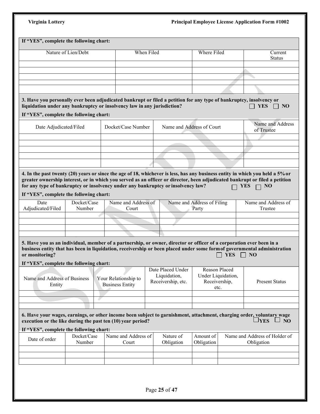|                                                                                                                          |                     | If "YES", complete the following chart:                                                                                                                                                                                                          |                                                         |                                                              |            |                                                             |
|--------------------------------------------------------------------------------------------------------------------------|---------------------|--------------------------------------------------------------------------------------------------------------------------------------------------------------------------------------------------------------------------------------------------|---------------------------------------------------------|--------------------------------------------------------------|------------|-------------------------------------------------------------|
|                                                                                                                          | Nature of Lien/Debt | When Filed                                                                                                                                                                                                                                       |                                                         | <b>Where Filed</b>                                           |            | Current<br><b>Status</b>                                    |
|                                                                                                                          |                     |                                                                                                                                                                                                                                                  |                                                         |                                                              |            |                                                             |
|                                                                                                                          |                     |                                                                                                                                                                                                                                                  |                                                         |                                                              |            |                                                             |
|                                                                                                                          |                     |                                                                                                                                                                                                                                                  |                                                         |                                                              |            |                                                             |
|                                                                                                                          |                     |                                                                                                                                                                                                                                                  |                                                         |                                                              |            |                                                             |
| If "YES", complete the following chart:                                                                                  |                     | 3. Have you personally ever been adjudicated bankrupt or filed a petition for any type of bankruptcy, insolvency or<br>liquidation under any bankruptcy or insolvency law in any jurisdiction?                                                   |                                                         |                                                              |            | <b>YES</b><br>$\Box$ NO                                     |
| Date Adjudicated/Filed                                                                                                   |                     | Docket/Case Number                                                                                                                                                                                                                               |                                                         | Name and Address of Court                                    |            | Name and Address<br>of Trustee                              |
|                                                                                                                          |                     |                                                                                                                                                                                                                                                  |                                                         |                                                              |            |                                                             |
|                                                                                                                          |                     |                                                                                                                                                                                                                                                  |                                                         |                                                              |            |                                                             |
|                                                                                                                          |                     |                                                                                                                                                                                                                                                  |                                                         |                                                              |            |                                                             |
|                                                                                                                          |                     |                                                                                                                                                                                                                                                  |                                                         |                                                              |            |                                                             |
|                                                                                                                          |                     | 4. In the past twenty (20) years or since the age of 18, whichever is less, has any business entity in which you held a 5% or                                                                                                                    |                                                         |                                                              |            |                                                             |
| If "YES", complete the following chart:                                                                                  |                     |                                                                                                                                                                                                                                                  |                                                         |                                                              |            |                                                             |
| Date                                                                                                                     | Docket/Case         | Name and Address of                                                                                                                                                                                                                              |                                                         | Name and Address of Filing                                   |            | Name and Address of                                         |
|                                                                                                                          | Number              | Court                                                                                                                                                                                                                                            |                                                         | Party                                                        |            | Trustee                                                     |
|                                                                                                                          |                     |                                                                                                                                                                                                                                                  |                                                         |                                                              |            |                                                             |
|                                                                                                                          |                     |                                                                                                                                                                                                                                                  |                                                         |                                                              |            |                                                             |
|                                                                                                                          |                     | 5. Have you as an individual, member of a partnership, or owner, director or officer of a corporation ever been in a<br>business entity that has been in liquidation, receivership or been placed under some form of governmental administration |                                                         |                                                              | <b>YES</b> | N <sub>O</sub>                                              |
| Adjudicated/Filed<br>or monitoring?<br>If "YES", complete the following chart:<br>Name and Address of Business<br>Entity |                     | Your Relationship to<br><b>Business Entity</b>                                                                                                                                                                                                   | Date Placed Under<br>Liquidation,<br>Receivership, etc. | Reason Placed<br>Under Liquidation,<br>Receivership,<br>etc. |            | <b>Present Status</b>                                       |
|                                                                                                                          |                     |                                                                                                                                                                                                                                                  |                                                         |                                                              |            |                                                             |
|                                                                                                                          |                     | 6. Have your wages, earnings, or other income been subject to garnishment, attachment, charging order, voluntary wage<br>execution or the like during the past ten (10) year period?                                                             |                                                         |                                                              |            | $\square$ YES                                               |
|                                                                                                                          | Docket/Case         | Name and Address of                                                                                                                                                                                                                              | Nature of                                               | Amount of                                                    |            |                                                             |
| If "YES", complete the following chart:<br>Date of order                                                                 | Number              | Court                                                                                                                                                                                                                                            | Obligation                                              | Obligation                                                   |            | $\square$ No<br>Name and Address of Holder of<br>Obligation |
|                                                                                                                          |                     |                                                                                                                                                                                                                                                  |                                                         |                                                              |            |                                                             |
|                                                                                                                          |                     |                                                                                                                                                                                                                                                  |                                                         |                                                              |            |                                                             |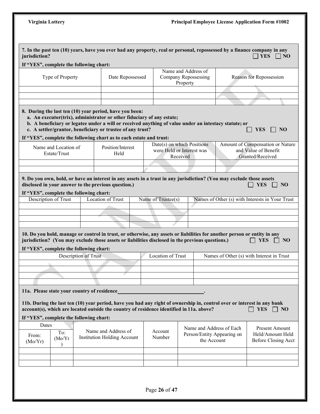|                           | If "YES", complete the following chart:                                                |                      |                                                                                                                                                                                                                                                                                                                                                                                |                    |                                                         |                                                                       |                                                                  |
|---------------------------|----------------------------------------------------------------------------------------|----------------------|--------------------------------------------------------------------------------------------------------------------------------------------------------------------------------------------------------------------------------------------------------------------------------------------------------------------------------------------------------------------------------|--------------------|---------------------------------------------------------|-----------------------------------------------------------------------|------------------------------------------------------------------|
|                           | Type of Property                                                                       |                      | Date Repossessed                                                                                                                                                                                                                                                                                                                                                               |                    | Name and Address of<br>Company Repossessing<br>Property |                                                                       | Reason for Repossession                                          |
|                           |                                                                                        |                      |                                                                                                                                                                                                                                                                                                                                                                                |                    |                                                         |                                                                       |                                                                  |
|                           |                                                                                        |                      |                                                                                                                                                                                                                                                                                                                                                                                |                    |                                                         |                                                                       |                                                                  |
|                           |                                                                                        |                      | 8. During the last ten (10) year period, have you been:<br>a. An executor(trix), administrator or other fiduciary of any estate;<br>b. A beneficiary or legatee under a will or received anything of value under an intestacy statute; or<br>c. A settler/grantor, beneficiary or trustee of any trust?<br>If "YES", complete the following chart as to each estate and trust: |                    |                                                         |                                                                       | <b>YES</b><br>- NO                                               |
|                           | Name and Location of<br>Estate/Trust                                                   |                      | Position/Interest<br>Held                                                                                                                                                                                                                                                                                                                                                      |                    | Date(s) on which Positions<br>were Held or Interest was |                                                                       | Amount of Compensation or Nature<br>and Value of Benefit         |
|                           |                                                                                        |                      |                                                                                                                                                                                                                                                                                                                                                                                |                    | Received                                                |                                                                       | Granted/Received                                                 |
|                           |                                                                                        |                      |                                                                                                                                                                                                                                                                                                                                                                                |                    |                                                         |                                                                       |                                                                  |
|                           | If "YES", complete the following chart:<br><b>Description of Trust</b>                 |                      | <b>Location of Trust</b>                                                                                                                                                                                                                                                                                                                                                       | Name of Trustee(s) |                                                         |                                                                       | Names of Other (s) with Interests in Your Trust                  |
|                           |                                                                                        |                      |                                                                                                                                                                                                                                                                                                                                                                                |                    |                                                         |                                                                       |                                                                  |
|                           |                                                                                        |                      | 10. Do you hold, manage or control in trust, or otherwise, any assets or liabilities for another person or entity in any<br>jurisdiction? (You may exclude those assets or liabilities disclosed in the previous questions.)                                                                                                                                                   |                    |                                                         |                                                                       | <b>YES</b><br>NO                                                 |
|                           | If "YES", complete the following chart:                                                | Description of Trust |                                                                                                                                                                                                                                                                                                                                                                                | Location of Trust  |                                                         |                                                                       |                                                                  |
|                           |                                                                                        |                      |                                                                                                                                                                                                                                                                                                                                                                                |                    |                                                         |                                                                       |                                                                  |
|                           |                                                                                        |                      |                                                                                                                                                                                                                                                                                                                                                                                |                    |                                                         |                                                                       |                                                                  |
|                           |                                                                                        |                      |                                                                                                                                                                                                                                                                                                                                                                                |                    |                                                         |                                                                       | Names of Other (s) with Interest in Trust                        |
|                           | 11a. Please state your country of residence<br>If "YES", complete the following chart: |                      | 11b. During the last ten (10) year period, have you had any right of ownership in, control over or interest in any bank<br>account(s), which are located outside the country of residence identified in 11a. above?                                                                                                                                                            |                    |                                                         |                                                                       | <b>YES</b><br>$\vert$   NO                                       |
| Dates<br>From:<br>(Mo/Yr) | To:<br>(Mo/Yr)                                                                         |                      | Name and Address of<br><b>Institution Holding Account</b>                                                                                                                                                                                                                                                                                                                      | Account<br>Number  |                                                         | Name and Address of Each<br>Person/Entity Appearing on<br>the Account | Present Amount<br>Held/Amount Held<br><b>Before Closing Acct</b> |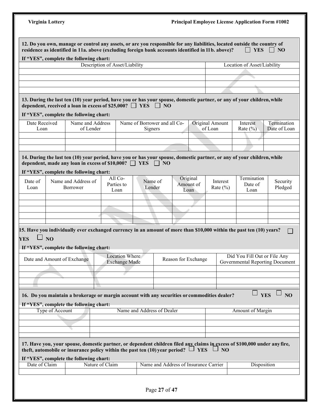|                       |                 | If "YES", complete the following chart:                                |                                                                                                                                                                                                                                |                                         |                                       |                               |                            |                                                                 |                             |
|-----------------------|-----------------|------------------------------------------------------------------------|--------------------------------------------------------------------------------------------------------------------------------------------------------------------------------------------------------------------------------|-----------------------------------------|---------------------------------------|-------------------------------|----------------------------|-----------------------------------------------------------------|-----------------------------|
|                       |                 |                                                                        | Description of Asset/Liability                                                                                                                                                                                                 |                                         |                                       |                               |                            | Location of Asset/Liability                                     |                             |
|                       |                 |                                                                        |                                                                                                                                                                                                                                |                                         |                                       |                               |                            |                                                                 |                             |
|                       |                 |                                                                        |                                                                                                                                                                                                                                |                                         |                                       |                               |                            |                                                                 |                             |
|                       |                 |                                                                        |                                                                                                                                                                                                                                |                                         |                                       |                               |                            |                                                                 |                             |
|                       |                 |                                                                        | 13. During the last ten (10) year period, have you or has your spouse, domestic partner, or any of your children, while<br>dependent, received a loan in excess of \$25,000? $\Box$ YES                                        |                                         | $\vert$   NO                          |                               |                            |                                                                 |                             |
|                       |                 | If "YES", complete the following chart:                                |                                                                                                                                                                                                                                |                                         |                                       |                               |                            |                                                                 |                             |
| Date Received<br>Loan |                 | Name and Address<br>of Lender                                          |                                                                                                                                                                                                                                | Name of Borrower and all Co-<br>Signers |                                       |                               | Original Amount<br>of Loan | Interest<br>Rate $(\% )$                                        | Termination<br>Date of Loan |
|                       |                 |                                                                        |                                                                                                                                                                                                                                |                                         |                                       |                               |                            |                                                                 |                             |
|                       |                 |                                                                        |                                                                                                                                                                                                                                |                                         |                                       |                               |                            |                                                                 |                             |
|                       |                 |                                                                        |                                                                                                                                                                                                                                |                                         |                                       |                               |                            |                                                                 |                             |
| Date of<br>Loan       |                 | Name and Address of<br><b>Borrower</b>                                 | Parties to<br>Loan                                                                                                                                                                                                             | Name of<br>Lender                       |                                       | Original<br>Amount of<br>Loan | Interest<br>Rate $(\% )$   | Date of<br>Loan                                                 | Security<br>Pledged         |
|                       |                 |                                                                        |                                                                                                                                                                                                                                |                                         |                                       |                               |                            |                                                                 |                             |
| <b>YES</b>            | $\Box$ NO       | If "YES", complete the following chart:<br>Date and Amount of Exchange | Location Where<br><b>Exchange Made</b>                                                                                                                                                                                         |                                         |                                       | Reason for Exchange           |                            | Did You Fill Out or File Any<br>Governmental Reporting Document |                             |
|                       |                 |                                                                        |                                                                                                                                                                                                                                |                                         |                                       |                               |                            |                                                                 |                             |
|                       |                 |                                                                        |                                                                                                                                                                                                                                |                                         |                                       |                               |                            |                                                                 |                             |
|                       |                 |                                                                        |                                                                                                                                                                                                                                |                                         |                                       |                               |                            |                                                                 |                             |
|                       |                 | If "YES", complete the following chart:                                | 16. Do you maintain a brokerage or margin account with any securities or commodities dealer?                                                                                                                                   |                                         |                                       |                               |                            | $\Box$ YES                                                      | N <sub>O</sub>              |
|                       | Type of Account |                                                                        |                                                                                                                                                                                                                                | Name and Address of Dealer              |                                       |                               |                            | <b>Amount of Margin</b>                                         |                             |
|                       |                 |                                                                        | 17. Have you, your spouse, domestic partner, or dependent children filed any claims in excess of \$100,000 under any fire,<br>theft, automobile or insurance policy within the past ten (10) year period? $\Box$ YES $\Box$ NO |                                         |                                       |                               |                            |                                                                 |                             |
| Date of Claim         |                 | If "YES", complete the following chart:                                | Nature of Claim                                                                                                                                                                                                                |                                         | Name and Address of Insurance Carrier |                               |                            | Disposition                                                     |                             |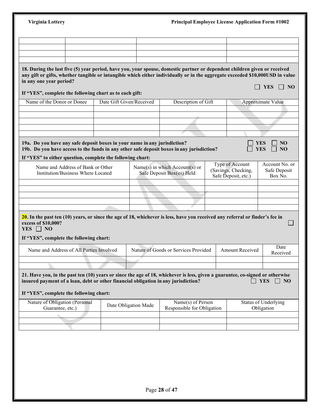| 18. During the last five (5) year period, have you, your spouse, domestic partner or dependent children given or received<br>any gift or gifts, whether tangible or intangible which either individually or in the aggregate exceeded \$10,000USD in value<br><b>YES</b><br>If "YES", complete the following chart as to each gift:<br>Name of the Donor or Donee<br>Date Gift Given/Received<br>Description of Gift<br>Approximate Value<br>19a. Do you have any safe deposit boxes in your name in any jurisdiction?<br><b>YES</b><br>NO<br>19b. Do you have access to the funds in any other safe deposit boxes in any jurisdiction?<br><b>YES</b><br>N <sub>O</sub><br>If "YES" to either question, complete the following chart:<br>Type of Account<br>Name and Address of Bank or Other<br>Name(s) in which Account(s) or<br>(Savings, Checking,<br>Safe Deposit<br>Safe Deposit Box(es) Held<br>Institution/Business Where Located<br>Safe Deposit, etc.)<br>Box No.<br>$20$ . In the past ten (10) years, or since the age of 18, whichever is less, have you received any referral or finder's fee in<br>excess of \$10,000?<br>YES $\Box$ NO<br>If "YES", complete the following chart:<br>Date<br>Name and Address of All Parties Involved<br>Nature of Goods or Services Provided<br><b>Amount Received</b><br>Received<br>21. Have you, in the past ten (10) years or since the age of 18, whichever is less, given a guarantee, co-signed or otherwise<br>insured payment of a loan, debt or other financial obligation in any jurisdiction?<br><b>YES</b><br>If "YES", complete the following chart:<br>Nature of Obligation (Personal<br>Name(s) of Person<br><b>Status of Underlying</b><br>Date Obligation Made<br>Responsible for Obligation<br>Guarantee, etc.)<br>Obligation |                         |  |  |                |
|---------------------------------------------------------------------------------------------------------------------------------------------------------------------------------------------------------------------------------------------------------------------------------------------------------------------------------------------------------------------------------------------------------------------------------------------------------------------------------------------------------------------------------------------------------------------------------------------------------------------------------------------------------------------------------------------------------------------------------------------------------------------------------------------------------------------------------------------------------------------------------------------------------------------------------------------------------------------------------------------------------------------------------------------------------------------------------------------------------------------------------------------------------------------------------------------------------------------------------------------------------------------------------------------------------------------------------------------------------------------------------------------------------------------------------------------------------------------------------------------------------------------------------------------------------------------------------------------------------------------------------------------------------------------------------------------------------------------------------------------------------------------------------------------------|-------------------------|--|--|----------------|
|                                                                                                                                                                                                                                                                                                                                                                                                                                                                                                                                                                                                                                                                                                                                                                                                                                                                                                                                                                                                                                                                                                                                                                                                                                                                                                                                                                                                                                                                                                                                                                                                                                                                                                                                                                                                   |                         |  |  |                |
|                                                                                                                                                                                                                                                                                                                                                                                                                                                                                                                                                                                                                                                                                                                                                                                                                                                                                                                                                                                                                                                                                                                                                                                                                                                                                                                                                                                                                                                                                                                                                                                                                                                                                                                                                                                                   |                         |  |  |                |
|                                                                                                                                                                                                                                                                                                                                                                                                                                                                                                                                                                                                                                                                                                                                                                                                                                                                                                                                                                                                                                                                                                                                                                                                                                                                                                                                                                                                                                                                                                                                                                                                                                                                                                                                                                                                   | in any one year period? |  |  | $\vert$   NO   |
|                                                                                                                                                                                                                                                                                                                                                                                                                                                                                                                                                                                                                                                                                                                                                                                                                                                                                                                                                                                                                                                                                                                                                                                                                                                                                                                                                                                                                                                                                                                                                                                                                                                                                                                                                                                                   |                         |  |  |                |
|                                                                                                                                                                                                                                                                                                                                                                                                                                                                                                                                                                                                                                                                                                                                                                                                                                                                                                                                                                                                                                                                                                                                                                                                                                                                                                                                                                                                                                                                                                                                                                                                                                                                                                                                                                                                   |                         |  |  |                |
|                                                                                                                                                                                                                                                                                                                                                                                                                                                                                                                                                                                                                                                                                                                                                                                                                                                                                                                                                                                                                                                                                                                                                                                                                                                                                                                                                                                                                                                                                                                                                                                                                                                                                                                                                                                                   |                         |  |  |                |
|                                                                                                                                                                                                                                                                                                                                                                                                                                                                                                                                                                                                                                                                                                                                                                                                                                                                                                                                                                                                                                                                                                                                                                                                                                                                                                                                                                                                                                                                                                                                                                                                                                                                                                                                                                                                   |                         |  |  |                |
|                                                                                                                                                                                                                                                                                                                                                                                                                                                                                                                                                                                                                                                                                                                                                                                                                                                                                                                                                                                                                                                                                                                                                                                                                                                                                                                                                                                                                                                                                                                                                                                                                                                                                                                                                                                                   |                         |  |  |                |
|                                                                                                                                                                                                                                                                                                                                                                                                                                                                                                                                                                                                                                                                                                                                                                                                                                                                                                                                                                                                                                                                                                                                                                                                                                                                                                                                                                                                                                                                                                                                                                                                                                                                                                                                                                                                   |                         |  |  | Account No. or |
|                                                                                                                                                                                                                                                                                                                                                                                                                                                                                                                                                                                                                                                                                                                                                                                                                                                                                                                                                                                                                                                                                                                                                                                                                                                                                                                                                                                                                                                                                                                                                                                                                                                                                                                                                                                                   |                         |  |  |                |
|                                                                                                                                                                                                                                                                                                                                                                                                                                                                                                                                                                                                                                                                                                                                                                                                                                                                                                                                                                                                                                                                                                                                                                                                                                                                                                                                                                                                                                                                                                                                                                                                                                                                                                                                                                                                   |                         |  |  |                |
|                                                                                                                                                                                                                                                                                                                                                                                                                                                                                                                                                                                                                                                                                                                                                                                                                                                                                                                                                                                                                                                                                                                                                                                                                                                                                                                                                                                                                                                                                                                                                                                                                                                                                                                                                                                                   |                         |  |  |                |
|                                                                                                                                                                                                                                                                                                                                                                                                                                                                                                                                                                                                                                                                                                                                                                                                                                                                                                                                                                                                                                                                                                                                                                                                                                                                                                                                                                                                                                                                                                                                                                                                                                                                                                                                                                                                   |                         |  |  |                |
|                                                                                                                                                                                                                                                                                                                                                                                                                                                                                                                                                                                                                                                                                                                                                                                                                                                                                                                                                                                                                                                                                                                                                                                                                                                                                                                                                                                                                                                                                                                                                                                                                                                                                                                                                                                                   |                         |  |  |                |
|                                                                                                                                                                                                                                                                                                                                                                                                                                                                                                                                                                                                                                                                                                                                                                                                                                                                                                                                                                                                                                                                                                                                                                                                                                                                                                                                                                                                                                                                                                                                                                                                                                                                                                                                                                                                   |                         |  |  |                |
|                                                                                                                                                                                                                                                                                                                                                                                                                                                                                                                                                                                                                                                                                                                                                                                                                                                                                                                                                                                                                                                                                                                                                                                                                                                                                                                                                                                                                                                                                                                                                                                                                                                                                                                                                                                                   |                         |  |  |                |
|                                                                                                                                                                                                                                                                                                                                                                                                                                                                                                                                                                                                                                                                                                                                                                                                                                                                                                                                                                                                                                                                                                                                                                                                                                                                                                                                                                                                                                                                                                                                                                                                                                                                                                                                                                                                   |                         |  |  |                |
|                                                                                                                                                                                                                                                                                                                                                                                                                                                                                                                                                                                                                                                                                                                                                                                                                                                                                                                                                                                                                                                                                                                                                                                                                                                                                                                                                                                                                                                                                                                                                                                                                                                                                                                                                                                                   |                         |  |  |                |
|                                                                                                                                                                                                                                                                                                                                                                                                                                                                                                                                                                                                                                                                                                                                                                                                                                                                                                                                                                                                                                                                                                                                                                                                                                                                                                                                                                                                                                                                                                                                                                                                                                                                                                                                                                                                   |                         |  |  | $\Box$ NO      |
|                                                                                                                                                                                                                                                                                                                                                                                                                                                                                                                                                                                                                                                                                                                                                                                                                                                                                                                                                                                                                                                                                                                                                                                                                                                                                                                                                                                                                                                                                                                                                                                                                                                                                                                                                                                                   |                         |  |  |                |
|                                                                                                                                                                                                                                                                                                                                                                                                                                                                                                                                                                                                                                                                                                                                                                                                                                                                                                                                                                                                                                                                                                                                                                                                                                                                                                                                                                                                                                                                                                                                                                                                                                                                                                                                                                                                   |                         |  |  |                |
|                                                                                                                                                                                                                                                                                                                                                                                                                                                                                                                                                                                                                                                                                                                                                                                                                                                                                                                                                                                                                                                                                                                                                                                                                                                                                                                                                                                                                                                                                                                                                                                                                                                                                                                                                                                                   |                         |  |  |                |
|                                                                                                                                                                                                                                                                                                                                                                                                                                                                                                                                                                                                                                                                                                                                                                                                                                                                                                                                                                                                                                                                                                                                                                                                                                                                                                                                                                                                                                                                                                                                                                                                                                                                                                                                                                                                   |                         |  |  |                |
|                                                                                                                                                                                                                                                                                                                                                                                                                                                                                                                                                                                                                                                                                                                                                                                                                                                                                                                                                                                                                                                                                                                                                                                                                                                                                                                                                                                                                                                                                                                                                                                                                                                                                                                                                                                                   |                         |  |  |                |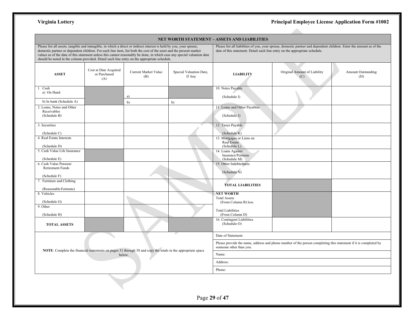a bir

| Please list all assets, tangible and intangible, in which a direct or indirect interest is held by you, your spouse,<br>domestic partner or dependent children. For each line item, list both the cost of the asset and the present market<br>values as of the date of this statement unless this cannot reasonably be done, in which case any special valuation date<br>should be noted in the column provided. Detail each line entry on the appropriate schedule. |                                              |                                                                                                             |                                   |                                                         | Please list all liabilities of you, your spouse, domestic partner and dependent children. Enter the amount as of the<br>date of this statement. Detail each line entry on the appropriate schedule. |                                  |
|----------------------------------------------------------------------------------------------------------------------------------------------------------------------------------------------------------------------------------------------------------------------------------------------------------------------------------------------------------------------------------------------------------------------------------------------------------------------|----------------------------------------------|-------------------------------------------------------------------------------------------------------------|-----------------------------------|---------------------------------------------------------|-----------------------------------------------------------------------------------------------------------------------------------------------------------------------------------------------------|----------------------------------|
| <b>ASSET</b>                                                                                                                                                                                                                                                                                                                                                                                                                                                         | Cost at Date Acquired<br>or Purchased<br>(A) | <b>Current Market Value</b><br>(B)                                                                          | Special Valuation Date,<br>If Any | <b>LIABILITY</b>                                        | Original Amount of Liability<br>(C)                                                                                                                                                                 | <b>Amount Outstanding</b><br>(D) |
| 1. Cash<br>a) On Hand                                                                                                                                                                                                                                                                                                                                                                                                                                                |                                              | a)                                                                                                          |                                   | 10. Notes Payable<br>(Schedule I)                       |                                                                                                                                                                                                     |                                  |
| b) In bank (Schedule A)                                                                                                                                                                                                                                                                                                                                                                                                                                              |                                              | b)                                                                                                          | b)                                |                                                         |                                                                                                                                                                                                     |                                  |
| 2. Loans, Notes and Other<br>Receivables<br>(Schedule B)                                                                                                                                                                                                                                                                                                                                                                                                             |                                              |                                                                                                             |                                   | 11. Loans and Other Payables<br>(Schedule J)            |                                                                                                                                                                                                     |                                  |
| 3. Securities<br>(Schedule C)                                                                                                                                                                                                                                                                                                                                                                                                                                        |                                              |                                                                                                             |                                   | 12. Taxes Payable<br>(Schedule K)                       |                                                                                                                                                                                                     |                                  |
| 4. Real Estate Interests                                                                                                                                                                                                                                                                                                                                                                                                                                             |                                              |                                                                                                             |                                   | 13. Mortgages or Liens on<br>Real Estate                |                                                                                                                                                                                                     |                                  |
| (Schedule D)<br>5. Cash Value Life Insurance                                                                                                                                                                                                                                                                                                                                                                                                                         |                                              |                                                                                                             |                                   | (Schedule L)<br>14. Loans Against<br>Insurance/Pensions |                                                                                                                                                                                                     |                                  |
| (Schedule E)<br>6. Cash Value Pension/                                                                                                                                                                                                                                                                                                                                                                                                                               |                                              |                                                                                                             |                                   | (Schedule M)<br>15. Other Indebtedness                  |                                                                                                                                                                                                     |                                  |
| <b>Retirement Funds</b><br>(Schedule F)                                                                                                                                                                                                                                                                                                                                                                                                                              |                                              |                                                                                                             |                                   | (Schedule N)                                            |                                                                                                                                                                                                     |                                  |
| 7. Furniture and Clothing<br>(Reasonable Estimate)                                                                                                                                                                                                                                                                                                                                                                                                                   |                                              |                                                                                                             |                                   | <b>TOTAL LIABILITIES</b>                                |                                                                                                                                                                                                     |                                  |
| 8. Vehicles                                                                                                                                                                                                                                                                                                                                                                                                                                                          |                                              |                                                                                                             |                                   | <b>NET WORTH</b><br><b>Total Assets</b>                 |                                                                                                                                                                                                     |                                  |
| (Schedule G)<br>9. Other                                                                                                                                                                                                                                                                                                                                                                                                                                             |                                              |                                                                                                             |                                   | (From Column B) less<br><b>Total Liabilities</b>        |                                                                                                                                                                                                     |                                  |
| (Schedule H)                                                                                                                                                                                                                                                                                                                                                                                                                                                         |                                              |                                                                                                             |                                   | (From Column D)                                         |                                                                                                                                                                                                     |                                  |
| <b>TOTAL ASSETS</b>                                                                                                                                                                                                                                                                                                                                                                                                                                                  |                                              |                                                                                                             |                                   | 16. Contingent Liabilities<br>(Schedule O)              |                                                                                                                                                                                                     |                                  |
|                                                                                                                                                                                                                                                                                                                                                                                                                                                                      |                                              |                                                                                                             |                                   | Date of Statement:                                      |                                                                                                                                                                                                     |                                  |
|                                                                                                                                                                                                                                                                                                                                                                                                                                                                      |                                              | NOTE: Complete the financial statements on pages 31 through 38 and copy the totals in the appropriate space |                                   | someone other than you.                                 | Please provide the name, address and phone number of the person completing this statement if it is completed by                                                                                     |                                  |
|                                                                                                                                                                                                                                                                                                                                                                                                                                                                      | below.                                       |                                                                                                             |                                   | Name:                                                   |                                                                                                                                                                                                     |                                  |
|                                                                                                                                                                                                                                                                                                                                                                                                                                                                      |                                              |                                                                                                             |                                   | Address:                                                |                                                                                                                                                                                                     |                                  |
|                                                                                                                                                                                                                                                                                                                                                                                                                                                                      |                                              |                                                                                                             |                                   | Phone:                                                  |                                                                                                                                                                                                     |                                  |
|                                                                                                                                                                                                                                                                                                                                                                                                                                                                      |                                              |                                                                                                             |                                   |                                                         |                                                                                                                                                                                                     |                                  |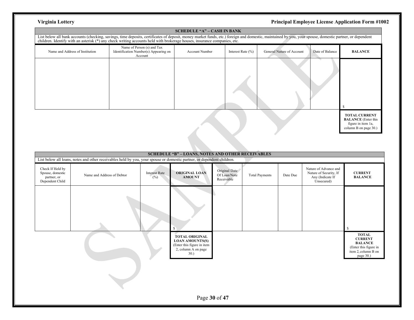|                                                                                                                                                                                                                                |                                                                                | <b>SCHEDULE "A" – CASH IN BANK</b> |                       |                           |                 |                                                                                                   |
|--------------------------------------------------------------------------------------------------------------------------------------------------------------------------------------------------------------------------------|--------------------------------------------------------------------------------|------------------------------------|-----------------------|---------------------------|-----------------|---------------------------------------------------------------------------------------------------|
| List below all bank accounts (checking, savings, time deposits, certificates of deposit, money market funds, etc.) foreign and domestic, maintained by you, your spouse, domestic partner, or dependent children. Identify wit |                                                                                |                                    |                       |                           |                 |                                                                                                   |
| Name and Address of Institution                                                                                                                                                                                                | Name of Person (s) and Tax<br>Identification Number(s) Appearing on<br>Account | Account Number                     | Interest Rate $(\% )$ | General Nature of Account | Date of Balance | <b>BALANCE</b>                                                                                    |
|                                                                                                                                                                                                                                |                                                                                |                                    |                       |                           |                 |                                                                                                   |
|                                                                                                                                                                                                                                |                                                                                |                                    |                       |                           |                 | <b>TOTAL CURRENT</b><br><b>BALANCE</b> (Enter this<br>figure in item 1a,<br>column B on page 30.) |
|                                                                                                                                                                                                                                |                                                                                |                                    |                       |                           |                 |                                                                                                   |

|                                                                        |                                                                                                                        |                             | <b>SCHEDULE "B" - LOANS, NOTES AND OTHER RECEIVABLES</b>                                                     |                                             |                       |          |                                                                                   |                                                                                                               |
|------------------------------------------------------------------------|------------------------------------------------------------------------------------------------------------------------|-----------------------------|--------------------------------------------------------------------------------------------------------------|---------------------------------------------|-----------------------|----------|-----------------------------------------------------------------------------------|---------------------------------------------------------------------------------------------------------------|
|                                                                        | List below all loans, notes and other receivables held by you, your spouse or domestic partner, or dependent children. |                             |                                                                                                              |                                             |                       |          |                                                                                   |                                                                                                               |
| Check If Held by<br>Spouse, domestic<br>partner, or<br>Dependent Child | Name and Address of Debtor                                                                                             | <b>Interest Rate</b><br>(%) | ORIGINAL LOAN<br><b>AMOUNT</b>                                                                               | Original Date<br>Of Loan/Note<br>Receivable | <b>Total Payments</b> | Date Due | Nature of Advance and<br>Nature of Security, If<br>Any (Indicate If<br>Unsecured) | <b>CURRENT</b><br><b>BALANCE</b>                                                                              |
|                                                                        |                                                                                                                        |                             |                                                                                                              |                                             |                       |          |                                                                                   | \$                                                                                                            |
|                                                                        |                                                                                                                        |                             | <b>TOTAL ORIGINAL</b><br><b>LOAN AMOUNTS(S)</b><br>(Enter this figure in item<br>2, column A on page<br>30.) |                                             |                       |          |                                                                                   | <b>TOTAL</b><br><b>CURRENT</b><br><b>BALANCE</b><br>(Enter this figure in<br>item 2, column B on<br>page 30.) |
|                                                                        |                                                                                                                        |                             |                                                                                                              | Page 30 of 47                               |                       |          |                                                                                   |                                                                                                               |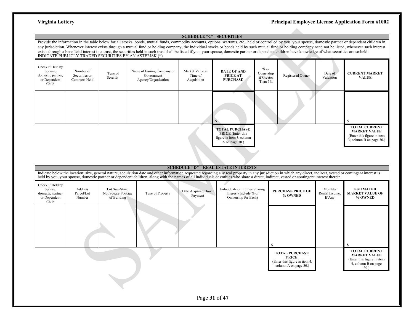### **SCHEDULE "C" –SECURITIES**

Provide the information in the table below for all stocks, bonds, mutual funds, commodity accounts, options, warrants, etc., held or controlled by you, your spouse, domestic partner or dependent children in any jurisdiction. Whenever interest exists through a mutual fund or holding company, the individual stocks or bonds held by such mutual fund or holding company need not be listed; whenever such interest exists through a beneficial interest in a trust, the securities held in such trust shall be listed if you, your spouse, domestic partner or dependent children have knowledge of what securities are so held.<br>INDICATE PUBLICL

| Check if Held by<br>Spouse,<br>domestic partner,<br>or Dependent<br>Child | Number of<br>Securities or<br><b>Contracts Held</b> | Type of<br>Security | Name of Issuing Company or<br>Government<br>Agency/Organization | Market Value at<br>Time of<br>Acquisition | <b>DATE OF AND</b><br>PRICE AT<br><b>PURCHASE</b>                                               | $%$ or<br>Ownership<br>if Greater<br>Than 5% | Registered Owner | Date of<br>Valuation | <b>CURRENT MARKET</b><br><b>VALUE</b>                                                                 |
|---------------------------------------------------------------------------|-----------------------------------------------------|---------------------|-----------------------------------------------------------------|-------------------------------------------|-------------------------------------------------------------------------------------------------|----------------------------------------------|------------------|----------------------|-------------------------------------------------------------------------------------------------------|
|                                                                           |                                                     |                     |                                                                 |                                           |                                                                                                 |                                              |                  |                      |                                                                                                       |
|                                                                           |                                                     |                     |                                                                 |                                           | <b>TOTAL PURCHASE</b><br><b>PRICE</b> (Enter this<br>figure in item 3, column<br>A on page 30.) |                                              |                  |                      | <b>TOTAL CURRENT</b><br><b>MARKET VALUE</b><br>(Enter this figure in item<br>3, column B on page 30.) |

|                                                                          |                                 |                                                     |                  |                               | <b>SCHEDULE "D" - REAL ESTATE INTERESTS</b><br>Indicate below the location, size, general nature, acquisition date and other information requested regarding any real property in any jurisdiction in which any direct, indirect, vested or contingent interest is held by yo |                                                                                                 |                                     |                                                                                                         |
|--------------------------------------------------------------------------|---------------------------------|-----------------------------------------------------|------------------|-------------------------------|-------------------------------------------------------------------------------------------------------------------------------------------------------------------------------------------------------------------------------------------------------------------------------|-------------------------------------------------------------------------------------------------|-------------------------------------|---------------------------------------------------------------------------------------------------------|
| Check if Held by<br>Spouse,<br>domestic partner<br>or Dependent<br>Child | Address<br>Parcel/Lot<br>Number | Lot Size/Stand<br>No./Square Footage<br>of Building | Type of Property | Date Acquired/Down<br>Payment | Individuals or Entities Sharing<br>Interest (Include % of<br>Ownership for Each)                                                                                                                                                                                              | <b>PURCHASE PRICE OF</b><br>% OWNED                                                             | Monthly<br>Rental Income,<br>If Any | <b>ESTIMATED</b><br><b>MARKET VALUE OF</b><br>% OWNED                                                   |
|                                                                          |                                 |                                                     |                  |                               |                                                                                                                                                                                                                                                                               | -8                                                                                              |                                     |                                                                                                         |
|                                                                          |                                 |                                                     |                  |                               |                                                                                                                                                                                                                                                                               | <b>TOTAL PURCHASE</b><br><b>PRICE</b><br>(Enter this figure in item 4,<br>column A on page 30.) |                                     | <b>TOTAL CURRENT</b><br><b>MARKET VALUE</b><br>(Enter this figure in item<br>4, column B on page<br>30. |
|                                                                          |                                 |                                                     |                  | Page 31 of 47                 |                                                                                                                                                                                                                                                                               |                                                                                                 |                                     |                                                                                                         |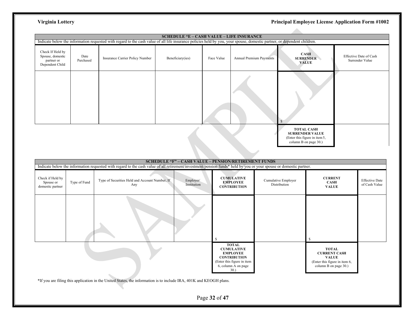|                                                                       |                   | Indicate below the information requested with regard to the cash value of all life insurance policies held by you, your spouse, domestic partner, or dependent children. | <b>SCHEDULE "E - CASH VALUE - LIFE INSURANCE</b> |            |                                |                                                                                                       |                                           |
|-----------------------------------------------------------------------|-------------------|--------------------------------------------------------------------------------------------------------------------------------------------------------------------------|--------------------------------------------------|------------|--------------------------------|-------------------------------------------------------------------------------------------------------|-------------------------------------------|
| Check If Held by<br>Spouse, domestic<br>partner or<br>Dependent Child | Date<br>Purchased | Insurance Carrier Policy Number                                                                                                                                          | Beneficiary(ies)                                 | Face Value | <b>Annual Premium Payments</b> | <b>CASH</b><br><b>SURRENDER</b><br>VALUE                                                              | Effective Date of Cash<br>Surrender Value |
|                                                                       |                   |                                                                                                                                                                          |                                                  |            |                                |                                                                                                       |                                           |
|                                                                       |                   |                                                                                                                                                                          |                                                  |            |                                | <b>TOTAL CASH</b><br><b>SURRENDER VALUE</b><br>(Enter this figure in item 5,<br>column B on page 30.) |                                           |

|                                                   |              |                                                                                                                                                                                                                             |                          | <b>SCHEDULE "F" - CASH VALUE - PENSION/RETIREMENT FUNDS</b>                                                                             |                                     |                                                                                                               |                                        |
|---------------------------------------------------|--------------|-----------------------------------------------------------------------------------------------------------------------------------------------------------------------------------------------------------------------------|--------------------------|-----------------------------------------------------------------------------------------------------------------------------------------|-------------------------------------|---------------------------------------------------------------------------------------------------------------|----------------------------------------|
| Check if Held by<br>Spouse or<br>domestic partner | Type of Fund | Indicate below the information requested with regard to the cash value of all retirement/investment/pension funds* held by you or your spouse or domestic partner.<br>Type of Securities Held and Account Number, If<br>Any | Employer/<br>Institution | <b>CUMULATIVE</b><br><b>EMPLOYEE</b><br><b>CONTRIBUTION</b>                                                                             | Cumulative Employer<br>Distribution | <b>CURRENT</b><br><b>CASH</b><br><b>VALUE</b>                                                                 | <b>Effective Date</b><br>of Cash Value |
|                                                   |              |                                                                                                                                                                                                                             |                          | S                                                                                                                                       |                                     |                                                                                                               |                                        |
|                                                   |              | $*$ If you are filing this application in the United States, the information is to include IRA 401K and KEOGH plans                                                                                                         |                          | <b>TOTAL</b><br><b>CUMULATIVE</b><br><b>EMPLOYEE</b><br><b>CONTRIBUTION</b><br>(Enter this figure in item<br>6, column A on page<br>30. |                                     | <b>TOTAL</b><br><b>CURRENT CASH</b><br><b>VALUE</b><br>(Enter this figure in item 6,<br>column B on page 30.) |                                        |

\*If you are filing this application in the United States, the information is to include IRA, 401K and KEOGH plans.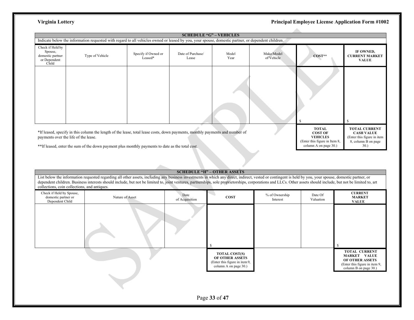|                                                                          | Indicate below the information requested with regard to all vehicles owned or leased by you, your spouse, domestic partner, or dependent children.                                                                                                                      |                                | <b>SCHEDULE "G" - VEHICLES</b> |               |                          |                                                                                                             |                                                                                                       |
|--------------------------------------------------------------------------|-------------------------------------------------------------------------------------------------------------------------------------------------------------------------------------------------------------------------------------------------------------------------|--------------------------------|--------------------------------|---------------|--------------------------|-------------------------------------------------------------------------------------------------------------|-------------------------------------------------------------------------------------------------------|
| Check if Held by<br>Spouse,<br>domestic partner<br>or Dependent<br>Child | Type of Vehicle                                                                                                                                                                                                                                                         | Specify if Owned or<br>Leased* | Date of Purchase/<br>Lease     | Model<br>Year | Make/Model<br>of Vehicle | $COST**$                                                                                                    | IF OWNED,<br><b>CURRENT MARKET</b><br><b>VALUE</b>                                                    |
|                                                                          |                                                                                                                                                                                                                                                                         |                                |                                |               |                          |                                                                                                             |                                                                                                       |
|                                                                          | *If leased, specify in this column the length of the lease, total lease costs, down payments, monthly payments and number of<br>payments over the life of the lease.<br>**If leased, enter the sum of the down payment plus monthly payments to date as the total cost. |                                |                                |               |                          | <b>TOTAL</b><br><b>COST OF</b><br><b>VEHICLES</b><br>(Enter this figure in Item 8,<br>column A on page 30.) | <b>TOTAL CURRENT</b><br><b>CASH VALUE</b><br>(Enter this figure in item<br>8, column B on page<br>30. |

## **SCHEDULE "H" – OTHER ASSETS**

List below the information requested regarding all other assets, including any business investments in which any direct, indirect, vested or contingent is held by you, your spouse, domestic partner, or dependent children. Business interests should include, but not be limited to, joint ventures, partnerships, sole proprietorships, corporations and LLCs. Other assets should include, but not be limited to, art collections, coin collections, and antiques.

| Check if Held by Spouse,<br>domestic partner or<br>Dependent Child | Nature of Asset | Date<br>of Acquisition | <b>COST</b>                                                                                       | % of Ownership<br>Interest | Date Of<br>Valuation | <b>CURRENT</b><br><b>MARKET</b><br><b>VALUE</b>                                                                          |
|--------------------------------------------------------------------|-----------------|------------------------|---------------------------------------------------------------------------------------------------|----------------------------|----------------------|--------------------------------------------------------------------------------------------------------------------------|
|                                                                    |                 |                        | <sup>\$</sup>                                                                                     |                            |                      |                                                                                                                          |
|                                                                    |                 |                        | <b>TOTAL COST(S)</b><br>OF OTHER ASSETS<br>(Enter this figure in item 9,<br>column A on page 30.) |                            |                      | <b>TOTAL CURRENT</b><br><b>MARKET VALUE</b><br>OF OTHER ASSETS<br>(Enter this figure in item 9,<br>column B on page 30.) |
|                                                                    |                 |                        |                                                                                                   |                            |                      |                                                                                                                          |
|                                                                    |                 |                        | Page 33 of 47                                                                                     |                            |                      |                                                                                                                          |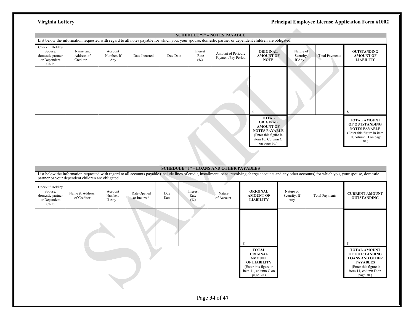|                                                                          |                                    |                              |               |          |                         | <b>SCHEDULE "I" - NOTES PAYABLE</b><br>List below the information requested with regard to all notes payable for which you, your spouse, domestic partner or dependent children are obligated. |                                                                                                                                           |                                  |                       |                                                                                                                             |
|--------------------------------------------------------------------------|------------------------------------|------------------------------|---------------|----------|-------------------------|------------------------------------------------------------------------------------------------------------------------------------------------------------------------------------------------|-------------------------------------------------------------------------------------------------------------------------------------------|----------------------------------|-----------------------|-----------------------------------------------------------------------------------------------------------------------------|
| Check if Held by<br>Spouse,<br>domestic partner<br>or Dependent<br>Child | Name and<br>Address of<br>Creditor | Account<br>Number, If<br>Any | Date Incurred | Due Date | Interest<br>Rate<br>(%) | Amount of Periodic<br>Payment/Pay Period                                                                                                                                                       | <b>ORIGINAL</b><br><b>AMOUNT OF</b><br><b>NOTE</b>                                                                                        | Nature of<br>Security,<br>If Any | <b>Total Payments</b> | <b>OUTSTANDING</b><br><b>AMOUNT OF</b><br><b>LIABILITY</b>                                                                  |
|                                                                          |                                    |                              |               |          |                         |                                                                                                                                                                                                | -S                                                                                                                                        |                                  |                       | -S                                                                                                                          |
|                                                                          |                                    |                              |               |          |                         |                                                                                                                                                                                                | <b>TOTAL</b><br><b>ORIGINAL</b><br><b>AMOUNT OF</b><br><b>NOTES PAYABLE</b><br>(Enter this figure in<br>item 10, Column C<br>on page 30.) |                                  |                       | <b>TOTAL AMOUNT</b><br>OF OUTSTANDING<br><b>NOTES PAYABLE</b><br>(Enter this figure in item<br>10, column D on page<br>30.) |

|                                                                          |                                                   |                              |                            |             |                         | <b>SCHEDULE "J" - LOANS AND OTHER PAYABLES</b> |                                                                                                                                                                                                              |                                  |                       |                                                                                                                                                  |
|--------------------------------------------------------------------------|---------------------------------------------------|------------------------------|----------------------------|-------------|-------------------------|------------------------------------------------|--------------------------------------------------------------------------------------------------------------------------------------------------------------------------------------------------------------|----------------------------------|-----------------------|--------------------------------------------------------------------------------------------------------------------------------------------------|
|                                                                          | partner or your dependent children are obligated. |                              |                            |             |                         |                                                | List below the information requested with regard to all accounts payable (include lines of credit, installment loans, revolving charge accounts and any other accounts) for which you, your spouse, domestic |                                  |                       |                                                                                                                                                  |
| Check if Held by<br>Spouse,<br>domestic partner<br>or Dependent<br>Child | Name & Address<br>of Creditor                     | Account<br>Number,<br>If Any | Date Opened<br>or Incurred | Due<br>Date | Interest<br>Rate<br>(%) | Nature<br>of Account                           | <b>ORIGINAL</b><br><b>AMOUNT OF</b><br><b>LIABILITY</b>                                                                                                                                                      | Nature of<br>Security, If<br>Any | <b>Total Payments</b> | <b>CURRENT AMOUNT</b><br><b>OUTSTANDING</b>                                                                                                      |
|                                                                          |                                                   |                              |                            |             |                         |                                                | \$                                                                                                                                                                                                           |                                  |                       |                                                                                                                                                  |
|                                                                          |                                                   |                              |                            |             |                         |                                                | <b>TOTAL</b><br><b>ORIGINAL</b><br><b>AMOUNT</b><br><b>OF LIABILITY</b><br>(Enter this figure in<br>item 11, column C on<br>page 30.)                                                                        |                                  |                       | <b>TOTAL AMOUNT</b><br>OF OUTSTANDING<br><b>LOANS AND OTHER</b><br><b>PAYABLES</b><br>(Enter this figure in<br>item 11, column D on<br>page 30.) |
|                                                                          |                                                   |                              |                            |             |                         | Page 34 of 47                                  |                                                                                                                                                                                                              |                                  |                       |                                                                                                                                                  |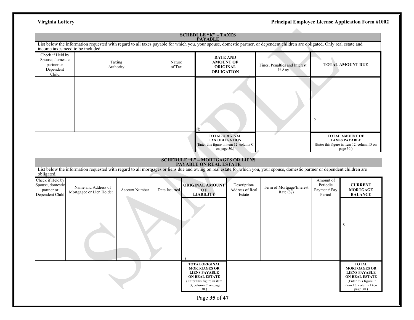|                                                                          |                                                 |                |                  | <b>SCHEDULE "K" - TAXES</b><br><b>PAYABLE</b>                                                                                                       |                                           |                                                                                                                                                                                |                                                 |                                                                                                                                            |
|--------------------------------------------------------------------------|-------------------------------------------------|----------------|------------------|-----------------------------------------------------------------------------------------------------------------------------------------------------|-------------------------------------------|--------------------------------------------------------------------------------------------------------------------------------------------------------------------------------|-------------------------------------------------|--------------------------------------------------------------------------------------------------------------------------------------------|
|                                                                          | income taxes need to be included.               |                |                  |                                                                                                                                                     |                                           | List below the information requested with regard to all taxes payable for which you, your spouse, domestic partner, or dependent children are obligated. Only real estate and  |                                                 |                                                                                                                                            |
| Check if Held by<br>Spouse, domestic<br>partner or<br>Dependent<br>Child | Taxing<br>Authority                             |                | Nature<br>of Tax | <b>DATE AND</b><br><b>AMOUNT OF</b><br><b>ORIGINAL</b><br><b>OBLIGATION</b>                                                                         |                                           | Fines, Penalties and Interest<br>If Any                                                                                                                                        |                                                 | <b>TOTAL AMOUNT DUE</b>                                                                                                                    |
|                                                                          |                                                 |                |                  |                                                                                                                                                     |                                           |                                                                                                                                                                                | $\mathbb{S}$                                    |                                                                                                                                            |
|                                                                          |                                                 |                |                  | <b>TOTAL ORIGINAL</b><br><b>TAX OBLIGATION</b><br>(Enter this figure in item 12, column C<br>on page $30.$ )                                        |                                           |                                                                                                                                                                                |                                                 | <b>TOTAL AMOUNT OF</b><br><b>TAXES PAYABLE</b><br>(Enter this figure in item 12, column D on<br>page $30.$ )                               |
|                                                                          |                                                 |                |                  | <b>SCHEDULE "L" - MORTGAGES OR LIENS</b><br>PAYABLE ON REAL ESTATE                                                                                  |                                           |                                                                                                                                                                                |                                                 |                                                                                                                                            |
| obligated.                                                               |                                                 |                |                  |                                                                                                                                                     |                                           | List below the information requested with regard to all mortgages or liens due and owing on real estate for which you, your spouse, domestic partner or dependent children are |                                                 |                                                                                                                                            |
| Check if Held by<br>Spouse, domestic<br>partner or<br>Dependent Child    | Name and Address of<br>Mortgagee or Lien Holder | Account Number | Date Incurred    | <b>ORIGINAL AMOUNT</b><br>OF<br><b>LIABILITY</b>                                                                                                    | Description/<br>Address of Real<br>Estate | Term of Mortgage/Interest<br>Rate $(\frac{6}{6})$                                                                                                                              | Amount of<br>Periodic<br>Payment/ Pay<br>Period | <b>CURRENT</b><br><b>MORTGAGE</b><br><b>BALANCE</b>                                                                                        |
|                                                                          |                                                 |                |                  |                                                                                                                                                     |                                           |                                                                                                                                                                                |                                                 | S                                                                                                                                          |
|                                                                          |                                                 |                |                  | TOTAL ORIGINAL<br><b>MORTGAGES OR</b><br><b>LIENS PAYABLE</b><br><b>ON REAL ESTATE</b><br>(Enter this figure in item<br>13, column C on page<br>30. |                                           |                                                                                                                                                                                |                                                 | $\bf TOTAL$<br><b>MORTGAGES OR</b><br><b>LIENS PAYABLE</b><br>ON REAL ESTATE<br>(Enter this figure in<br>item 13, column D on<br>page 30.) |
|                                                                          |                                                 |                |                  | Page 35 of 47                                                                                                                                       |                                           |                                                                                                                                                                                |                                                 |                                                                                                                                            |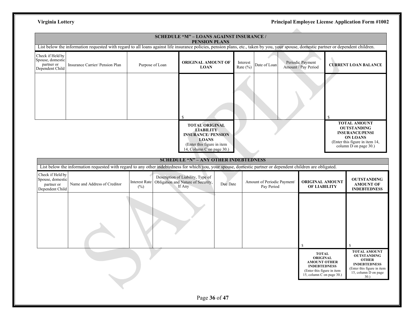|                                                                       |                                                                                                                                                                                        |                             | SCHEDULE "M" - LOANS AGAINST INSURANCE /<br><b>PENSION PLANS</b>                                                     |                          |                                           |                                                                                                                          |                                                                                                                                                   |
|-----------------------------------------------------------------------|----------------------------------------------------------------------------------------------------------------------------------------------------------------------------------------|-----------------------------|----------------------------------------------------------------------------------------------------------------------|--------------------------|-------------------------------------------|--------------------------------------------------------------------------------------------------------------------------|---------------------------------------------------------------------------------------------------------------------------------------------------|
|                                                                       | List below the information requested with regard to all loans against life insurance policies, pension plans, etc., taken by you, your spouse, domestic partner or dependent children. |                             |                                                                                                                      |                          |                                           |                                                                                                                          |                                                                                                                                                   |
| Check if Held by<br>Spouse, domestic<br>partner or<br>Dependent Child | Insurance Carrier/ Pension Plan                                                                                                                                                        | Purpose of Loan             | ORIGINAL AMOUNT OF<br><b>LOAN</b>                                                                                    | Interest<br>Rate $(\% )$ | Date of Loan                              | Periodic Payment<br>Amount / Pay Period                                                                                  | <b>CURRENT LOAN BALANCE</b>                                                                                                                       |
|                                                                       |                                                                                                                                                                                        |                             | <b>TOTAL ORIGINAL</b><br><b>LIABILITY</b><br><b>INSURANCE/ PENSION</b><br><b>LOANS</b><br>(Enter this figure in item |                          |                                           |                                                                                                                          | <b>TOTAL AMOUNT</b><br><b>OUTSTANDING</b><br><b>INSURANCE/PENSI</b><br><b>ON LOANS</b><br>(Enter this figure in item 14,<br>column D on page 30.) |
|                                                                       |                                                                                                                                                                                        |                             | 14, Column C on page 30.)                                                                                            |                          |                                           |                                                                                                                          |                                                                                                                                                   |
|                                                                       |                                                                                                                                                                                        |                             | <b>SCHEDULE "N" - ANY OTHER INDEBTEDNESS</b>                                                                         |                          |                                           |                                                                                                                          |                                                                                                                                                   |
|                                                                       | List below the information requested with regard to any other indebtedness for which you, your spouse, domestic partner or dependent children are obligated.                           |                             |                                                                                                                      |                          |                                           |                                                                                                                          |                                                                                                                                                   |
| Check if Held by<br>Spouse, domestic<br>partner or<br>Dependent Child | Name and Address of Creditor                                                                                                                                                           | <b>Interest Rate</b><br>(%) | Description of Liability, Type of<br>Obligation and Nature of Security,<br>Due Date<br>If Any                        |                          | Amount of Periodic Payment/<br>Pay Period | <b>ORIGINAL AMOUNT</b><br>OF LIABILITY                                                                                   | <b>OUTSTANDING</b><br><b>AMOUNT OF</b><br><b>INDEBTEDNESS</b>                                                                                     |
|                                                                       |                                                                                                                                                                                        |                             |                                                                                                                      |                          |                                           | $\mathbb{S}$<br><b>TOTAL</b>                                                                                             | <b>TOTAL AMOUNT</b>                                                                                                                               |
|                                                                       |                                                                                                                                                                                        |                             |                                                                                                                      |                          |                                           | <b>ORIGINAL</b><br><b>AMOUNT OTHER</b><br><b>INDEBTEDNESS</b><br>(Enter this figure in item<br>15, column C on page 30.) | <b>OUTSTANDING</b><br><b>OTHER</b><br><b>INDEBTEDNESS</b><br>(Enter this figure in item<br>15, column D on page<br>30.                            |
|                                                                       |                                                                                                                                                                                        |                             | Page 36 of 47                                                                                                        |                          |                                           |                                                                                                                          |                                                                                                                                                   |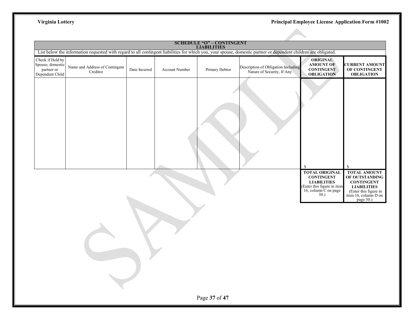|                                                                       |                                            |               |                | <b>SCHEDULE "O" - CONTINGENT<br/>LIABILITIES</b> |                                                                                                                                                                  |                                                                                                                                                           |                                                                                                                                                                 |
|-----------------------------------------------------------------------|--------------------------------------------|---------------|----------------|--------------------------------------------------|------------------------------------------------------------------------------------------------------------------------------------------------------------------|-----------------------------------------------------------------------------------------------------------------------------------------------------------|-----------------------------------------------------------------------------------------------------------------------------------------------------------------|
|                                                                       |                                            |               |                |                                                  | List below the information requested with regard to all contingent liabilities for which you, your spouse, domestic partner or dependent children are obligated. |                                                                                                                                                           |                                                                                                                                                                 |
| Check if Held by<br>Spouse, domestic<br>partner or<br>Dependent Child | Name and Address of Contingent<br>Creditor | Date Incurred | Account Number | Primary Debtor                                   | Description of Obligation Including<br>Nature of Security, If Any                                                                                                | <b>ORIGINAL</b><br><b>AMOUNT OF</b><br><b>CONTINGENT</b><br><b>OBLIGATION</b>                                                                             | <b>CURRENT AMOUNT</b><br>OF CONTINGENT<br><b>OBLIGATION</b>                                                                                                     |
|                                                                       |                                            |               |                |                                                  |                                                                                                                                                                  | <sup>\$</sup><br><b>TOTAL ORIGINAL</b><br><b>CONTINGENT</b><br><b>LIABILITIES</b><br>(Enter this figure in item<br>16, column $\overline{C}$ on page 30.) | <sup>\$</sup><br><b>TOTAL AMOUNT</b><br>OF OUTSTANDING<br><b>CONTINGENT</b><br><b>LIABILITIES</b><br>(Enter this figure in<br>item 16, column D on<br>page 30.) |
|                                                                       |                                            |               |                | Page 37 of 47                                    |                                                                                                                                                                  |                                                                                                                                                           |                                                                                                                                                                 |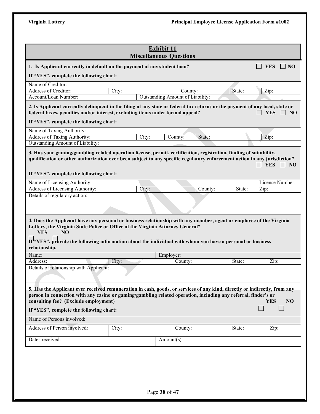|                                                                                                                                                                                                                                                                                                                                |       | <b>Miscellaneous Questions</b> | <b>Exhibit 11</b> |                                  |         |        |                 |                 |
|--------------------------------------------------------------------------------------------------------------------------------------------------------------------------------------------------------------------------------------------------------------------------------------------------------------------------------|-------|--------------------------------|-------------------|----------------------------------|---------|--------|-----------------|-----------------|
| 1. Is Applicant currently in default on the payment of any student loan?                                                                                                                                                                                                                                                       |       |                                |                   |                                  |         |        | <b>YES</b>      | $\Box$ NO       |
| If "YES", complete the following chart:                                                                                                                                                                                                                                                                                        |       |                                |                   |                                  |         |        |                 |                 |
| Name of Creditor:                                                                                                                                                                                                                                                                                                              |       |                                |                   |                                  |         |        |                 |                 |
| Address of Creditor:                                                                                                                                                                                                                                                                                                           | City: |                                |                   | County:                          |         | State: | Zip:            |                 |
| Account/Loan Number:                                                                                                                                                                                                                                                                                                           |       |                                |                   | Outstanding Amount of Liability: |         |        |                 |                 |
| 2. Is Applicant currently delinquent in the filing of any state or federal tax returns or the payment of any local, state or<br>federal taxes, penalties and/or interest, excluding items under formal appeal?                                                                                                                 |       |                                |                   |                                  |         |        | <b>YES</b>      | NO              |
| If "YES", complete the following chart:                                                                                                                                                                                                                                                                                        |       |                                |                   |                                  |         |        |                 |                 |
| Name of Taxing Authority:                                                                                                                                                                                                                                                                                                      |       |                                |                   |                                  |         |        |                 |                 |
| Address of Taxing Authority:                                                                                                                                                                                                                                                                                                   |       | City:                          |                   | County:                          | State:  |        | Zip:            |                 |
| Outstanding Amount of Liability:                                                                                                                                                                                                                                                                                               |       |                                |                   |                                  |         |        |                 |                 |
| If "YES", complete the following chart:<br>Name of Licensing Authority:                                                                                                                                                                                                                                                        |       |                                |                   |                                  |         |        | License Number: |                 |
| Address of Licensing Authority:                                                                                                                                                                                                                                                                                                |       | City:                          |                   |                                  | County: | State: | Zip:            |                 |
| Details of regulatory action:                                                                                                                                                                                                                                                                                                  |       |                                |                   |                                  |         |        |                 |                 |
| Lottery, the Virginia State Police or Office of the Virginia Attorney General?<br><b>YES</b><br>NO.<br>If <sup>k</sup> YES", provide the following information about the individual with whom you have a personal or business                                                                                                  |       |                                |                   |                                  |         |        |                 |                 |
| relationship.                                                                                                                                                                                                                                                                                                                  |       |                                |                   |                                  |         |        |                 |                 |
| Name:<br>Address:                                                                                                                                                                                                                                                                                                              |       |                                | Employer:         |                                  |         | State: | Zip:            |                 |
| Details of relationship with Applicant:                                                                                                                                                                                                                                                                                        | City: |                                |                   | County:                          |         |        |                 |                 |
| 5. Has the Applicant ever received remuneration in cash, goods, or services of any kind, directly or indirectly, from any<br>person in connection with any casino or gaming/gambling related operation, including any referral, finder's or<br>consulting fee? (Exclude employment)<br>If "YES", complete the following chart: |       |                                |                   |                                  |         |        | <b>YES</b>      | NO <sub>1</sub> |
| Name of Persons involved:                                                                                                                                                                                                                                                                                                      |       |                                |                   |                                  |         |        |                 |                 |
|                                                                                                                                                                                                                                                                                                                                | City: |                                |                   | County:                          |         | State: | Zip:            |                 |
|                                                                                                                                                                                                                                                                                                                                |       |                                |                   |                                  |         |        |                 |                 |
| Address of Person involved:<br>Dates received:                                                                                                                                                                                                                                                                                 |       |                                | Amount(s)         |                                  |         |        |                 |                 |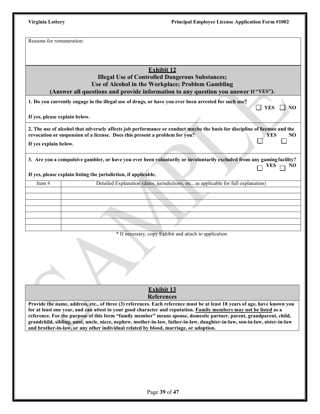Reasons for remuneration:

# **Exhibit 12**

# **Illegal Use of Controlled Dangerous Substances; Use of Alcohol in the Workplace; Problem Gambling (Answer all questions and provide information to any question you answer If "YES").**

|                               | 1. Do you currently engage in the illegal use of drugs, or have you ever been arrested for such use?<br>NO<br>YES                                                                                                              |
|-------------------------------|--------------------------------------------------------------------------------------------------------------------------------------------------------------------------------------------------------------------------------|
| If yes, please explain below. |                                                                                                                                                                                                                                |
| If yes explain below.         | 2. The use of alcohol that adversely affects job performance or conduct maybe the basis for discipline of licensee and the<br>revocation or suspension of a license. Does this present a problem for you?<br>NO.<br><b>YES</b> |
|                               | 3. Are you a compulsive gambler, or have you ever been voluntarily or involuntarily excluded from any gaming facility?<br>$\Box$ YES $\Box$ NO<br>If yes, please explain listing the jurisdiction, if applicable.              |
| Item $#$                      | Detailed Explanation (dates, jurisdictions, etc., as applicable for full explanation)                                                                                                                                          |
|                               |                                                                                                                                                                                                                                |

| Item $#$ | Detailed Explanation (dates, jurisdictions, etc., as applicable for full explanation) |
|----------|---------------------------------------------------------------------------------------|
|          |                                                                                       |
|          |                                                                                       |
|          |                                                                                       |
|          |                                                                                       |
|          |                                                                                       |
|          |                                                                                       |
|          |                                                                                       |

\* If necessary, copy Exhibit and attach to application

# **Exhibit 13 References**

**Provide the name, address, etc., of three (3) references. Each reference must be at least 18 years of age, have known you for at least one year, and can attest to your good character and reputation. Family members may not be listed as a reference. For the purpose of this form "family member" means spouse, domestic partner, parent, grandparent, child, grandchild, sibling, aunt, uncle, niece, nephew, mother-in-law, father-in-law, daughter-in-law, son-in-law, sister-in-law and brother-in-law, or any other individual related by blood, marriage, or adoption.**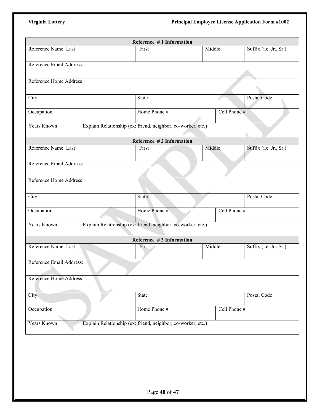|                               | Reference #1 Information                                     |        |              |                        |
|-------------------------------|--------------------------------------------------------------|--------|--------------|------------------------|
| Reference Name: Last          | First                                                        | Middle |              | Suffix (i.e. Jr., Sr.) |
| Reference Email Address:      |                                                              |        |              |                        |
|                               |                                                              |        |              |                        |
| <b>Reference Home Address</b> |                                                              |        |              |                        |
|                               |                                                              |        |              |                        |
| City                          | State                                                        |        |              | Postal Code            |
| Occupation                    | Home Phone #                                                 |        | Cell Phone # |                        |
| Years Known                   | Explain Relationship (ex: friend, neighbor, co-worker, etc.) |        |              |                        |
|                               |                                                              |        |              |                        |
|                               | Reference #2 Information                                     |        |              |                        |
| Reference Name: Last          | First                                                        | Middle |              | Suffix (i.e. Jr., Sr.) |
| Reference Email Address:      |                                                              |        |              |                        |
|                               |                                                              |        |              |                        |
| <b>Reference Home Address</b> |                                                              |        |              |                        |
|                               |                                                              |        |              |                        |
| City                          | State                                                        |        |              | Postal Code            |
| Occupation                    | Home Phone #                                                 |        | Cell Phone # |                        |
| Years Known                   |                                                              |        |              |                        |
|                               | Explain Relationship (ex: friend, neighbor, co-worker, etc.) |        |              |                        |
|                               | Reference #3 Information                                     |        |              |                        |
| Reference Name: Last          | First                                                        | Middle |              | Suffix (i.e. Jr., Sr.) |
| Reference Email Address:      |                                                              |        |              |                        |
|                               |                                                              |        |              |                        |
| Reference Home Address        |                                                              |        |              |                        |
|                               |                                                              |        |              |                        |
| City                          | State                                                        |        |              | Postal Code            |
| Occupation                    | Home Phone #                                                 |        | Cell Phone # |                        |
|                               |                                                              |        |              |                        |
| Years Known                   | Explain Relationship (ex: friend, neighbor, co-worker, etc.) |        |              |                        |
|                               |                                                              |        |              |                        |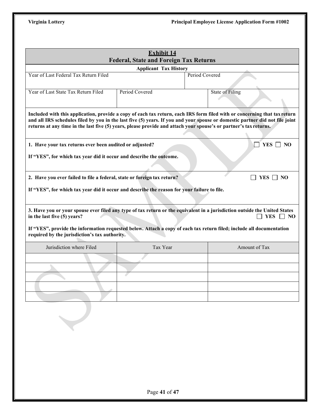|                                                                                                                                                                             | <b>Exhibit 14</b><br><b>Federal, State and Foreign Tax Returns</b> |                                                                                                                                                                                                                                                                                                                                                                                |
|-----------------------------------------------------------------------------------------------------------------------------------------------------------------------------|--------------------------------------------------------------------|--------------------------------------------------------------------------------------------------------------------------------------------------------------------------------------------------------------------------------------------------------------------------------------------------------------------------------------------------------------------------------|
|                                                                                                                                                                             | <b>Applicant Tax History</b>                                       |                                                                                                                                                                                                                                                                                                                                                                                |
| Year of Last Federal Tax Return Filed                                                                                                                                       |                                                                    | Period Covered                                                                                                                                                                                                                                                                                                                                                                 |
|                                                                                                                                                                             |                                                                    |                                                                                                                                                                                                                                                                                                                                                                                |
| Year of Last State Tax Return Filed                                                                                                                                         | Period Covered                                                     | State of Filing                                                                                                                                                                                                                                                                                                                                                                |
|                                                                                                                                                                             |                                                                    | Included with this application, provide a copy of each tax return, each IRS form filed with or concerning that tax return<br>and all IRS schedules filed by you in the last five (5) years. If you and your spouse or domestic partner did not file joint<br>returns at any time in the last five (5) years, please provide and attach your spouse's or partner's tax returns. |
| 1. Have your tax returns ever been audited or adjusted?                                                                                                                     |                                                                    | $YES \t{~}$ NO                                                                                                                                                                                                                                                                                                                                                                 |
| If "YES", for which tax year did it occur and describe the outcome.                                                                                                         |                                                                    |                                                                                                                                                                                                                                                                                                                                                                                |
|                                                                                                                                                                             |                                                                    |                                                                                                                                                                                                                                                                                                                                                                                |
| 2. Have you ever failed to file a federal, state or foreign tax return?                                                                                                     |                                                                    | YES $\Box$ NO                                                                                                                                                                                                                                                                                                                                                                  |
|                                                                                                                                                                             |                                                                    |                                                                                                                                                                                                                                                                                                                                                                                |
|                                                                                                                                                                             |                                                                    |                                                                                                                                                                                                                                                                                                                                                                                |
|                                                                                                                                                                             |                                                                    | 3. Have you or your spouse ever filed any type of tax return or the equivalent in a jurisdiction outside the United States<br><b>YES</b><br>NO                                                                                                                                                                                                                                 |
|                                                                                                                                                                             |                                                                    | If "YES", provide the information requested below. Attach a copy of each tax return filed; include all documentation                                                                                                                                                                                                                                                           |
| Jurisdiction where Filed                                                                                                                                                    | Tax Year                                                           | Amount of Tax                                                                                                                                                                                                                                                                                                                                                                  |
|                                                                                                                                                                             |                                                                    |                                                                                                                                                                                                                                                                                                                                                                                |
|                                                                                                                                                                             |                                                                    |                                                                                                                                                                                                                                                                                                                                                                                |
|                                                                                                                                                                             |                                                                    |                                                                                                                                                                                                                                                                                                                                                                                |
|                                                                                                                                                                             |                                                                    |                                                                                                                                                                                                                                                                                                                                                                                |
|                                                                                                                                                                             |                                                                    |                                                                                                                                                                                                                                                                                                                                                                                |
| If "YES", for which tax year did it occur and describe the reason for your failure to file.<br>in the last five (5) years?<br>required by the jurisdiction's tax authority. |                                                                    |                                                                                                                                                                                                                                                                                                                                                                                |
|                                                                                                                                                                             |                                                                    |                                                                                                                                                                                                                                                                                                                                                                                |
|                                                                                                                                                                             |                                                                    |                                                                                                                                                                                                                                                                                                                                                                                |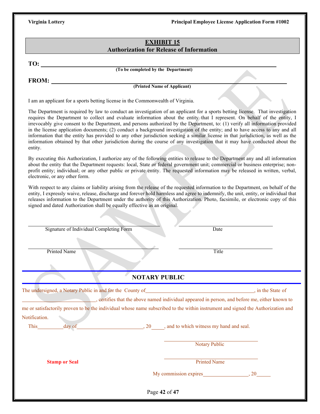# **EXHIBIT 15 Authorization for Release of Information**

**TO:** 

**(To be completed by the Department)**

**FROM:**

**(Printed Name of Applicant)**

I am an applicant for a sports betting license in the Commonwealth of Virginia.

The Department is required by law to conduct an investigation of an applicant for a sports betting license. That investigation requires the Department to collect and evaluate information about the entity that I represent. On behalf of the entity, I irrevocably give consent to the Department, and persons authorized by the Department, to: (1) verify all information provided in the license application documents; (2) conduct a background investigation of the entity; and to have access to any and all information that the entity has provided to any other jurisdiction seeking a similar license in that jurisdiction, as well as the information obtained by that other jurisdiction during the course of any investigation that it may have conducted about the entity.

By executing this Authorization, I authorize any of the following entities to release to the Department any and all information about the entity that the Department requests: local, State or federal government unit; commercial or business enterprise; nonprofit entity; individual; or any other public or private entity. The requested information may be released in written, verbal, electronic, or any other form.

With respect to any claims or liability arising from the release of the requested information to the Department, on behalf of the entity, I expressly waive, release, discharge and forever hold harmless and agree to indemnify, the unit, entity, or individual that releases information to the Department under the authority of this Authorization. Photo, facsimile, or electronic copy of this signed and dated Authorization shall be equally effective as an original.

| Signature of Individual Completing Form                   | Date                                                                                                                             |                   |
|-----------------------------------------------------------|----------------------------------------------------------------------------------------------------------------------------------|-------------------|
| <b>Printed Name</b>                                       | Title                                                                                                                            |                   |
|                                                           |                                                                                                                                  |                   |
|                                                           | <b>NOTARY PUBLIC</b>                                                                                                             |                   |
| The undersigned, a Notary Public in and for the County of | <u> 1989 - Jan Sterling Start, fransk politik (d. 1989)</u>                                                                      | , in the State of |
|                                                           | , certifies that the above named individual appeared in person, and before me, either known to                                   |                   |
|                                                           |                                                                                                                                  |                   |
|                                                           | me or satisfactorily proven to be the individual whose name subscribed to the within instrument and signed the Authorization and |                   |
|                                                           |                                                                                                                                  |                   |
|                                                           |                                                                                                                                  |                   |
| day of                                                    | $\frac{1}{20}$ , 20 $\frac{1}{20}$ , and to which witness my hand and seal.                                                      |                   |
|                                                           | <b>Notary Public</b>                                                                                                             |                   |
|                                                           |                                                                                                                                  |                   |
| Notification.<br><b>Stamp or Seal</b>                     | <b>Printed Name</b>                                                                                                              |                   |
|                                                           |                                                                                                                                  |                   |
|                                                           |                                                                                                                                  |                   |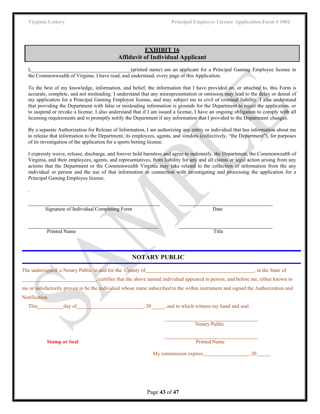# **EXHIBIT 16 Affidavit of Individual Applicant**

I, (printed name) am an applicant for a Principal Gaming Employee license in the Commonwealth of Virginia. I have read, and understand, every page of this Application.

To the best of my knowledge, information, and belief, the information that I have provided on, or attached to, this Form is accurate, complete, and not misleading. I understand that any misrepresentation or omission may lead to the delay or denial of my application for a Principal Gaming Employee license, and may subject me to civil or criminal liability. I also understand that providing the Department with false or misleading information is grounds for the Department to reject the application, or to suspend or revoke a license. I also understand that if I am issued a license, I have an ongoing obligation to comply with all licensing requirements and to promptly notify the Department if any information that I provided to the Department changes.

By a separate Authorization for Release of Information, I am authorizing any entity or individual that has information about me to release that information to the Department, its employees, agents, and vendors (collectively, "the Department"), for purposes of its investigation of the application for a sports betting license.

I expressly waive, release, discharge, and forever hold harmless and agree to indemnify, the Department, the Commonwealth of Virginia, and their employees, agents, and representatives, from liability for any and all claims or legal action arising from any actions that the Department or the Commonwealth Virginia may take related to the collection of information from the any individual or person and the use of that information in connection with investigating and processing the application for a Principal Gaming Employee license.

Signature of Individual Completing Form Date

Printed Name Title **The Community of the Community Community** Title Title **Title** 

.

# **NOTARY PUBLIC**

The undersigned, a Notary Public in and for the County of , in the State of , in the State of , certifies that the above named individual appeared in person, and before me, either known to

me or satisfactorily proven to be the individual whose name subscribed to the within instrument and signed the Authorization and Notification.

This day of  $\frac{1}{20}$ , 20 , and to which witness my hand and seal.

Notary Public

**Stamp or Seal** Printed Name

My commission expires 6.1 and 20

Page **43** of **47**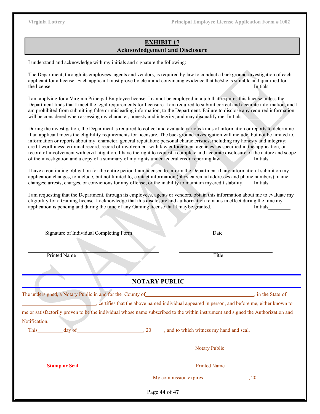# **EXHIBIT 17 Acknowledgement and Disclosure**

I understand and acknowledge with my initials and signature the following:

The Department, through its employees, agents and vendors, is required by law to conduct a background investigation of each applicant for a license. Each applicant must prove by clear and convincing evidence that he/she is suitable and qualified for the license. Initials and the license of the license of the license of the license of the license of the license of the license of the license of the license of the license of the license of the license of the license of t

I am applying for a Virginia Principal Employee license. I cannot be employed in a job that requires this license unless the Department finds that I meet the legal requirements for licensure. I am required to submit correct and accurate information, and I am prohibited from submitting false or misleading information, to the Department. Failure to disclose any required information will be considered when assessing my character, honesty and integrity, and may disqualify me. Initials

During the investigation, the Department is required to collect and evaluate various kinds of information or reports to determine if an applicant meets the eligibility requirements for licensure. The background investigation will include, but not be limited to, information or reports about my: character; general reputation; personal characteristics, including my honesty and integrity; credit worthiness; criminal record, record of involvement with law enforcement agencies, as specified in the application, or record of involvement with civil litigation. I have the right to request a complete and accurate disclosure of the nature and scope of the investigation and a copy of a summary of my rights under federal creditreporting law. Initials

I have a continuing obligation for the entire period I am licensed to inform the Department if any information I submit on my application changes, to include, but not limited to, contact information (physical/email addresses and phone numbers); name changes; arrests, charges, or convictions for any offense; or the inability to maintain mycredit stability. Initials

I am requesting that the Department, through its employees, agents or vendors, obtain this information about me to evaluate my eligibility for a Gaming license. I acknowledge that this disclosure and authorization remains in effect during the time my application is pending and during the time of any Gaming license that I may be granted. Initials

| Signature of Individual Completing Form                                                                                          |                      | Date                 |                                                                                             |
|----------------------------------------------------------------------------------------------------------------------------------|----------------------|----------------------|---------------------------------------------------------------------------------------------|
| <b>Printed Name</b>                                                                                                              |                      | Title                |                                                                                             |
|                                                                                                                                  |                      |                      |                                                                                             |
|                                                                                                                                  | <b>NOTARY PUBLIC</b> |                      |                                                                                             |
|                                                                                                                                  |                      |                      |                                                                                             |
|                                                                                                                                  |                      |                      | ertifies that the above named individual appeared in person, and before me, either known to |
| me or satisfactorily proven to be the individual whose name subscribed to the within instrument and signed the Authorization and |                      |                      |                                                                                             |
| Notification.                                                                                                                    |                      |                      |                                                                                             |
| This day of day of day $\frac{1}{20}$ , and to which witness my hand and seal.                                                   |                      |                      |                                                                                             |
|                                                                                                                                  |                      | <b>Notary Public</b> |                                                                                             |
| <b>Stamp or Seal</b>                                                                                                             |                      | <b>Printed Name</b>  |                                                                                             |
|                                                                                                                                  |                      |                      |                                                                                             |
|                                                                                                                                  | Page 44 of 47        |                      |                                                                                             |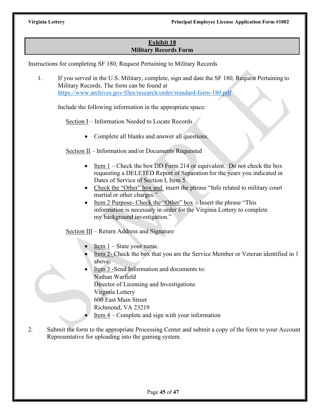# **Exhibit 18 Military Records Form**

Instructions for completing SF 180, Request Pertaining to Military Records

1. If you served in the U.S. Military, complete, sign and date the SF 180, Request Pertaining to Military Records. The form can be found at <https://www.archives.gov/files/research/order/standard-form-180.pdf>

Include the following information in the appropriate space:

Section I – Information Needed to Locate Records

• Complete all blanks and answer all questions.

Section II – Information and/or Documents Requested

- Item  $1 -$  Check the box DD Form 214 or equivalent. Do not check the box requesting a DELETED Report of Separation for the years you indicated in Dates of Service of Section I, Item 5.
- Check the "Other" box and insert the phrase "Info related to military court martial or other charges."
- Item 2 Purpose- Check the "Other" box Insert the phrase "This information is necessary in order for the Virginia Lottery to complete my background investigation."

Section III – Return Address and Signature

- Item  $1 -$  State your name.
- Item 2- Check the box that you are the Service Member or Veteran identified in 1 above.
- Item 3 -Send Information and documents to: Nathan Warfield Director of Licensing and Investigations Virginia Lottery 600 East Main Street Richmond, VA 23219
	- <u>Item  $4$ </u> Complete and sign with your information
- 2. Submit the form to the appropriate Processing Center and submit a copy of the form to your Account Representative for uploading into the gaming system.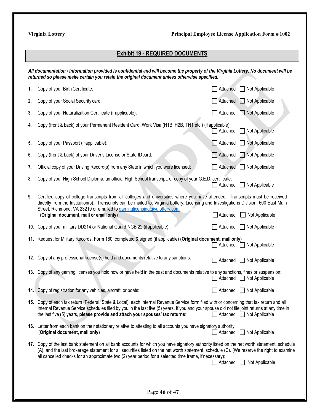# **Exhibit 19 - REQUIRED DOCUMENTS**

| All documentation / information provided is confidential and will become the property of the Virginia Lottery. No document will be<br>returned so please make certain you retain the original document unless otherwise specified. |                                                                                                                                                                                                                                                                                                                                                                                                                             |          |                       |  |
|------------------------------------------------------------------------------------------------------------------------------------------------------------------------------------------------------------------------------------|-----------------------------------------------------------------------------------------------------------------------------------------------------------------------------------------------------------------------------------------------------------------------------------------------------------------------------------------------------------------------------------------------------------------------------|----------|-----------------------|--|
| 1.                                                                                                                                                                                                                                 | Copy of your Birth Certificate:                                                                                                                                                                                                                                                                                                                                                                                             | Attached | Not Applicable        |  |
| 2.                                                                                                                                                                                                                                 | Copy of your Social Security card:                                                                                                                                                                                                                                                                                                                                                                                          | Attached | Not Applicable        |  |
| 3.                                                                                                                                                                                                                                 | Copy of your Naturalization Certificate (ifapplicable):                                                                                                                                                                                                                                                                                                                                                                     | Attached | $\Box$ Not Applicable |  |
| 4.                                                                                                                                                                                                                                 | Copy (front & back) of your Permanent Resident Card, Work Visa (H1B, H2B, TN1 etc.) (if applicable):                                                                                                                                                                                                                                                                                                                        | Attached | Not Applicable        |  |
| 5.                                                                                                                                                                                                                                 | Copy of your Passport (if applicable):                                                                                                                                                                                                                                                                                                                                                                                      | Attached | <b>Not Applicable</b> |  |
| 6.                                                                                                                                                                                                                                 | Copy (front & back) of your Driver's License or State ID card:                                                                                                                                                                                                                                                                                                                                                              | Attached | $\Box$ Not Applicable |  |
| 7.                                                                                                                                                                                                                                 | Official copy of your Driving Record(s) from any State in which you were licensed:                                                                                                                                                                                                                                                                                                                                          | Attached | Not Applicable        |  |
| 8.                                                                                                                                                                                                                                 | Copy of your High School Diploma, an official High School transcript, or copy of your G.E.D. certificate:                                                                                                                                                                                                                                                                                                                   | Attached | Not Applicable        |  |
| 9.                                                                                                                                                                                                                                 | Certified copy of college transcripts from all colleges and universities where you have attended. Transcripts must be received<br>directly from the Institution(s). Transcripts can be mailed to: Virginia Lottery, Licensing and Investigations Division, 600 East Main<br>Street, Richmond, VA 23219 or emailed to gaminglicensing@valottery.com<br>(Original document, mail or email only)<br>Attached<br>Not Applicable |          |                       |  |
|                                                                                                                                                                                                                                    | 10. Copy of your military DD214 or National Guard NGB 22 (ifapplicable):                                                                                                                                                                                                                                                                                                                                                    | Attached | Not Applicable        |  |
|                                                                                                                                                                                                                                    | 11. Request for Military Records, Form 180, completed & signed (if applicable) (Original document, mail only)                                                                                                                                                                                                                                                                                                               | Attached | Not Applicable        |  |
|                                                                                                                                                                                                                                    | 12. Copy of any professional license(s) held and documents relative to any sanctions:                                                                                                                                                                                                                                                                                                                                       | Attached | Not Applicable        |  |
|                                                                                                                                                                                                                                    | 13. Copy of any gaming licenses you hold now or have held in the past and documents relative to any sanctions, fines or suspension:                                                                                                                                                                                                                                                                                         | Attached | Not Applicable        |  |
|                                                                                                                                                                                                                                    | 14. Copy of registration for any vehicles, aircraft, or boats:                                                                                                                                                                                                                                                                                                                                                              | Attached | Not Applicable        |  |
|                                                                                                                                                                                                                                    | 15. Copy of each tax return (Federal, State & Local), each Internal Revenue Service form filed with or concerning that tax return and all<br>Internal Revenue Service schedules filed by you in the last five (5) years. If you and your spouse did not file joint returns at any time in<br>the last five (5) years, please provide and attach your spouses' tax returns:<br>Attached ■ Not Applicable                     |          |                       |  |
|                                                                                                                                                                                                                                    | 16. Letter from each bank on their stationary relative to attesting to all accounts you have signatory authority:<br>(Original document, mail only)                                                                                                                                                                                                                                                                         | Attached | □ Not Applicable      |  |
|                                                                                                                                                                                                                                    | 17. Copy of the last bank statement on all bank accounts for which you have signatory authority listed on the net worth statement, schedule<br>(A), and the last brokerage statement for all securities listed on the net worth statement, schedule (C). (We reserve the right to examine<br>all cancelled checks for an approximate two (2) year period for a selected time frame, if necessary):                          | Attached | Not Applicable        |  |